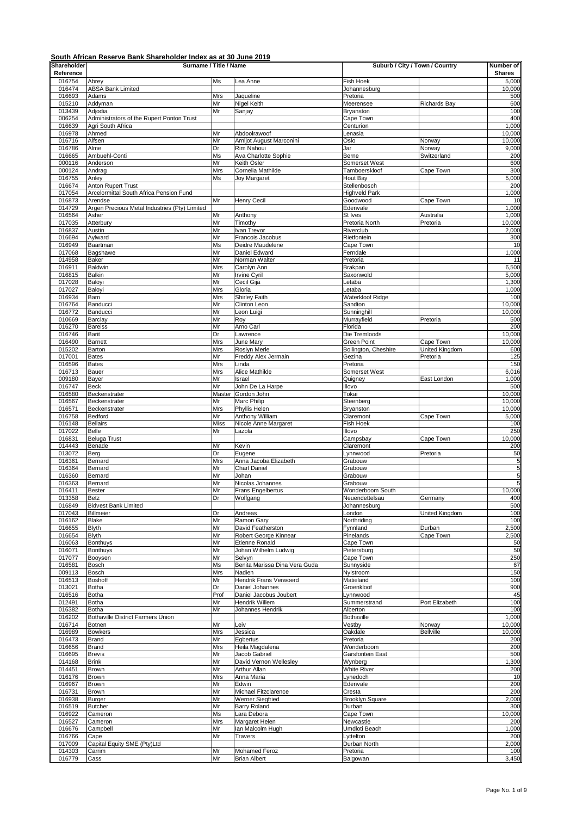| Shareholder      | Surname / Title / Name                                   |                  |                                              | Suburb / City / Town / Country   |                       | Number of        |
|------------------|----------------------------------------------------------|------------------|----------------------------------------------|----------------------------------|-----------------------|------------------|
| Reference        |                                                          |                  |                                              |                                  |                       | <b>Shares</b>    |
| 016754<br>016474 | Abrey<br><b>ABSA Bank Limited</b>                        | Ms               | Lea Anne                                     | Fish Hoek<br>Johannesburg        |                       | 5,000<br>10,000  |
| 016693           | Adams                                                    | Mrs              | Jaqueline                                    | Pretoria                         |                       | 500              |
| 015210           | Addyman                                                  | Mr               | <b>Nigel Keith</b>                           | Meerensee                        | <b>Richards Bay</b>   | 600              |
| 013439           | Adjodia                                                  | Mr               | Sanjay                                       | Bryanston                        |                       | 100              |
| 006254           | Administrators of the Rupert Ponton Trust                |                  |                                              | Cape Town                        |                       | 400              |
| 016639<br>016978 | Agri South Africa<br>Ahmed                               | Mr               | Abdoolrawoof                                 | Centurion<br>Lenasia             |                       | 1,000<br>10,000  |
| 016716           | Alfsen                                                   | Mr               | Arnljot August Marconini                     | Oslo                             | Norway                | 10,000           |
| 016786           | Alme                                                     | Dr               | Rim Nahoui                                   | Jar                              | Norway                | 9,000            |
| 016665           | Ambuehl-Conti                                            | Ms               | Ava Charlotte Sophie                         | Berne                            | Switzerland           | 200              |
| 000116<br>000124 | Anderson                                                 | Mr               | Keith Osler<br>Cornelia Mathilde             | Somerset West                    |                       | 600              |
| 016755           | Andrag<br>Anley                                          | Mrs<br>Ms        | Joy Margaret                                 | Tamboerskloof<br><b>Hout Bay</b> | Cape Town             | 300<br>5,000     |
| 016674           | Anton Rupert Trust                                       |                  |                                              | Stellenbosch                     |                       | 200              |
| 017054           | Arcelormittal South Africa Pension Fund                  |                  |                                              | Highveld Park                    |                       | 1,000            |
| 016873           | Arendse                                                  | Mr               | <b>Henry Cecil</b>                           | Goodwood                         | Cape Town             | 10               |
| 014729           | Argen Precious Metal Industries (Pty) Limited            |                  |                                              | Edenvale                         |                       | 1,000            |
| 016564<br>017035 | Asher<br>Atterbury                                       | Mr<br>Mr         | Anthony<br>Timothy                           | St Ives<br>Pretoria North        | Australia<br>Pretoria | 1,000<br>10,000  |
| 016837           | Austin                                                   | Mr               | Ivan Trevor                                  | Riverclub                        |                       | 2,000            |
| 016694           | Aylward                                                  | Mr               | Francois Jacobus                             | Rietfontein                      |                       | 300              |
| 016949           | Baartman                                                 | Ms               | Deidre Maudelene                             | Cape Town                        |                       | 10               |
| 017068           | Bagshawe                                                 | Mr               | Daniel Edward                                | Ferndale                         |                       | 1,000            |
| 014958<br>016911 | Baker<br>Baldwin                                         | Mr<br>Mrs        | Norman Walter<br>Carolyn Ann                 | Pretoria<br>Brakpan              |                       | 11<br>6,500      |
| 016815           | <b>Balkin</b>                                            | Mr               | <b>Irvine Cyril</b>                          | Saxonwold                        |                       | 5,000            |
| 017028           | Baloyi                                                   | Mr               | Cecil Gija                                   | Letaba                           |                       | 1,300            |
| 017027           | Baloyi                                                   | Mrs              | Gloria                                       | Letaba                           |                       | 1,000            |
| 016934           | Bam                                                      | Mrs              | Shirley Faith                                | Waterkloof Ridge                 |                       | 100              |
| 016764<br>016772 | Banducci<br>Banducci                                     | Mr<br>Mr         | Clinton Leon<br>Leon Luigi                   | Sandton<br>Sunninghill           |                       | 10,000<br>10,000 |
| 010669           | Barclay                                                  | Mr               | Roy                                          | Murrayfield                      | Pretoria              | 500              |
| 016270           | <b>Bareiss</b>                                           | Mr               | Arno Carl                                    | Florida                          |                       | 200              |
| 016746           | Barit                                                    | Dr               | Lawrence                                     | Die Tremloods                    |                       | 10,000           |
| 016490           | <b>Barnett</b>                                           | Mrs              | June Mary                                    | Green Point                      | Cape Town             | 10,000           |
| 015202           | Barton                                                   | Mrs              | Roslyn Merle                                 | Bollington, Cheshire             | United Kingdom        | 600              |
| 017001<br>016596 | <b>Bates</b><br><b>Bates</b>                             | Mr<br><b>Mrs</b> | Freddy Alex Jermain<br>Linda                 | Gezina<br>Pretoria               | Pretoria              | 125<br>150       |
| 016713           | Bauer                                                    | Mrs              | Alice Mathilde                               | Somerset West                    |                       | 6,016            |
| 009180           | Bayer                                                    | Mr               | Israel                                       | Quigney                          | East London           | 1,000            |
| 016747           | <b>Beck</b>                                              | Mr               | John De La Harpe                             | Illovo                           |                       | 500              |
| 016580           | Beckenstrater                                            | Master           | Gordon John                                  | Tokai                            |                       | 10,000           |
| 016567           | Beckenstrater                                            | Mr               | Marc Philip                                  | Steenberg                        |                       | 10,000           |
| 016571<br>016758 | Beckenstrater<br>Bedford                                 | Mrs<br>Mr        | Phyllis Helen<br>Anthony William             | Bryanston<br>Claremont           |                       | 10,000<br>5,000  |
| 016148           | <b>Bellairs</b>                                          | <b>Miss</b>      | Nicole Anne Margaret                         | Fish Hoek                        | Cape Town             | 100              |
| 017022           | Belle                                                    | Mr               | Lazola                                       | lllovo                           |                       | 250              |
| 016831           | <b>Beluga Trust</b>                                      |                  |                                              | Campsbay                         | Cape Town             | 10,000           |
| 014443           | Benade                                                   | Mr               | Kevin                                        | Claremont                        |                       | 200              |
| 013072           | Berg                                                     | Dr               | Eugene                                       | Lynnwood                         | Pretoria              | 50               |
| 016361<br>016364 | Bernard<br>Bernard                                       | Mrs<br>Mr        | Anna Jacoba Elizabeth<br><b>Charl Daniel</b> | Grabouw<br>Grabouw               |                       | 5<br>5           |
| 016360           | Bernard                                                  | Mr               | Johan                                        | Grabouw                          |                       | 5                |
| 016363           | Bernard                                                  | Mr               | Nicolas Johannes                             | Grabouw                          |                       | 5                |
| 016411           | <b>Bester</b>                                            | Mr               | Frans Engelbertus                            | Wonderboom South                 |                       | 10,000           |
| 013358           | Betz                                                     | Dr               | Wolfgang                                     | Neuendettelsau                   | Germany               | 400              |
| 016849           | <b>Bidvest Bank Limited</b><br><b>Billmeier</b>          |                  |                                              | Johannesburg                     | <b>United Kingdom</b> | 500              |
| 017043<br>016162 | <b>Blake</b>                                             | Dr<br>Mr         | Andreas<br>Ramon Gary                        | London<br>Northriding            |                       | 100<br>100       |
| 016655           | <b>Blyth</b>                                             | Mr               | David Featherston                            | Fynnland                         | Durban                | 2,500            |
| 016654           | <b>Blyth</b>                                             | Mr               | Robert George Kinnear                        | Pinelands                        | Cape Town             | 2,500            |
| 016063           | <b>Bonthuys</b>                                          | Mr               | <b>Etienne Ronald</b>                        | Cape Town                        |                       | 50               |
| 016071           | <b>Bonthuys</b>                                          | Mr               | Johan Wilhelm Ludwig                         | Pietersburg                      |                       | 50               |
| 017077           | Booysen                                                  | Mr               | Selvyn                                       | Cape Town                        |                       | 250              |
| 016581<br>009113 | Bosch<br>Bosch                                           | Ms<br>Mrs        | Benita Marissa Dina Vera Guda<br>Nadien      | Sunnyside<br>Nylstroom           |                       | 67<br>150        |
| 016513           | <b>Boshoff</b>                                           | Mr               | Hendrik Frans Verwoerd                       | Matieland                        |                       | 100              |
| 013021           | <b>Botha</b>                                             | Dr               | Daniel Johannes                              | Groenkloof                       |                       | 900              |
| 016516           | <b>Botha</b>                                             | Prof             | Daniel Jacobus Joubert                       | Lynnwood                         |                       | 45               |
| 012491           | <b>Botha</b>                                             | Mr               | Hendrik Willem                               | Summerstrand                     | Port Elizabeth        | 100              |
| 016382<br>016202 | <b>Botha</b><br><b>Bothaville District Farmers Union</b> | Mr               | Johannes Hendrik                             | Alberton<br><b>Bothaville</b>    |                       | 100<br>1,000     |
| 016714           | <b>Botnen</b>                                            | Mr               | Leiv                                         | Vestby                           | Norway                | 10,000           |
| 016989           | <b>Bowkers</b>                                           | Mrs              | Jessica                                      | Oakdale                          | <b>Bellville</b>      | 10,000           |
| 016473           | <b>Brand</b>                                             | Mr               | Egbertus                                     | Pretoria                         |                       | 200              |
| 016656           | Brand                                                    | Mrs              | Heila Magdalena                              | Wonderboom                       |                       | 200              |
| 016695           | <b>Brevis</b>                                            | Mr               | Jacob Gabriel                                | Garsfontein East                 |                       | 500              |
| 014168<br>014451 | <b>Brink</b><br>Brown                                    | Mr<br>Mr         | David Vernon Wellesley<br>Arthur Allan       | Wynberg<br>White River           |                       | 1,300<br>200     |
| 016176           | <b>Brown</b>                                             | Mrs              | Anna Maria                                   | Lynedoch                         |                       | 10               |
| 016967           | Brown                                                    | Mr               | Edwin                                        | Edenvale                         |                       | 200              |
| 016731           | <b>Brown</b>                                             | Mr               | Michael Fitzclarence                         | Cresta                           |                       | 200              |
| 016938           | Burger                                                   | Mr               | Werner Siegfried                             | <b>Brooklyn Square</b>           |                       | 2,000            |
| 016519           | <b>Butcher</b>                                           | Mr               | <b>Barry Roland</b>                          | Durban                           |                       | 300              |
| 016922           | Cameron                                                  | Ms               | Lara Debora                                  | Cape Town<br>Newcastle           |                       | 10,000           |
| 016527<br>016676 | Cameron<br>Campbell                                      | Mrs<br>Mr        | Margaret Helen<br>Ian Malcolm Hugh           | Umdloti Beach                    |                       | 200<br>1,000     |
| 016766           | Cape                                                     | Mr               | Travers                                      | Lyttelton                        |                       | 200              |
| 017009           | Capital Equity SME (Pty)Ltd                              |                  |                                              | Durban North                     |                       | 2,000            |
| 014303           | Carrim                                                   | Mr               | Mohamed Feroz                                | Pretoria                         |                       | 100              |
| 016779           | Cass                                                     | Mr               | <b>Brian Albert</b>                          | Balgowan                         |                       | 3,450            |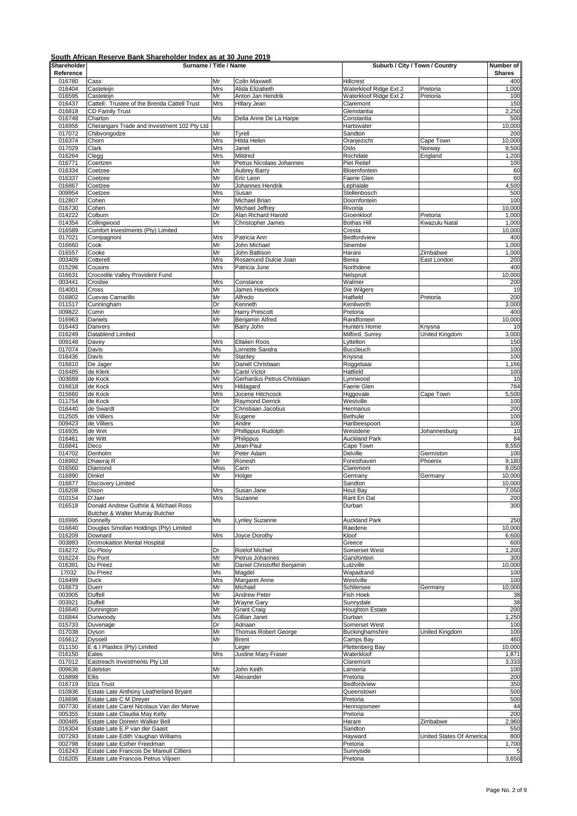| Shareholder<br>Reference | Surname / Title / Name                                          |                   | Suburb / City / Town / Country           |                                  | Number of<br><b>Shares</b> |                 |
|--------------------------|-----------------------------------------------------------------|-------------------|------------------------------------------|----------------------------------|----------------------------|-----------------|
| 016780                   | Cass                                                            | Mr                | Colin Maxwell                            | Hillcrest                        |                            | 400             |
| 016404                   | Casteleijn                                                      | Mrs               | Alida Elizabeth                          | Waterkloof Ridge Ext 2           | Pretoria                   | 1,000           |
| 016595                   | Casteleijn                                                      | Mr                | Anton Jan Hendrik                        | Waterkloof Ridge Ext 2           | Pretoria                   | 100             |
| 016437                   | Cattell: Trustee of the Brenda Cattell Trust                    | Mrs               | Hillary Jean                             | Claremont                        |                            | 150             |
| 016818<br>016748         | <b>CD Family Trust</b><br>Charton                               | Ms                | Delia Anne De La Harpe                   | Glenstantia<br>Constantia        |                            | 2,250<br>500    |
| 016956                   | Cherangani Trade and Investment 102 Pty Ltd                     |                   |                                          | Hartswater                       |                            | 10,000          |
| 017072                   | Chibvongodze                                                    | Mr                | Tyrell                                   | Sandton                          |                            | 200             |
| 016374                   | Chorn                                                           | <b>Mrs</b>        | Hilda Helen                              | Oranjezicht                      | Cape Town                  | 10,000          |
| 017029                   | Clark                                                           | Mrs               | Janet                                    | Oslo                             | Norway                     | 9,500           |
| 016264<br>016771         | Clegg<br>Coertzen                                               | <b>Mrs</b><br>Mr  | Mildred                                  | Rochdale<br><b>Piet Retief</b>   | England                    | 1,200<br>100    |
| 016334                   | Coetzee                                                         | Mr                | Petrus Nicolaas Johannes<br>Aubrey Barry | Bloemfontein                     |                            | 60              |
| 016337                   | Coetzee                                                         | Mr                | Eric Leon                                | Faerie Glen                      |                            | 60              |
| 016867                   | Coetzee                                                         | Mr                | Johannes Hendrik                         | Lephalale                        |                            | 4,500           |
| 009954                   | Coetzee                                                         | <b>Mrs</b>        | Susan                                    | Stellenbosch                     |                            | 500             |
| 012807                   | Cohen                                                           | Mr                | Michael Brian                            | Doornfontein                     |                            | 100             |
| 016730<br>014222         | Cohen<br>Colburn                                                | Mr<br>Dr          | Michael Jeffrey<br>Alan Richard Harold   | Rivonia                          |                            | 10,000<br>1,000 |
| 014354                   | Collingwood                                                     | Mr                | Christopher James                        | Groenkloof<br><b>Bothas Hill</b> | Pretoria<br>Kwazulu Natal  | 1,000           |
| 016589                   | Comfort Investments (Pty) Limited                               |                   |                                          | Cresta                           |                            | 10,000          |
| 017021                   | Compagnoni                                                      | Mrs               | Patricia Ann                             | Bedfordview                      |                            | 400             |
| 016660                   | Cook                                                            | Mr                | John Michael                             | Sinembe                          |                            | 1,000           |
| 016557                   | Cooke                                                           | Mr                | John Battison                            | Harare                           | Zimbabwe                   | 1,000           |
| 003409<br>015296         | Cotterell<br>Cousins                                            | Mrs<br>Mrs        | Rosamund Dulcie Joan<br>Patricia June    | Berea<br>Northdene               | East London                | 200<br>400      |
| 016631                   | Crocodile Valley Provident Fund                                 |                   |                                          | Nelspruit                        |                            | 10,000          |
| 003441                   | Crosbie                                                         | Mrs               | Constance                                | Walmer                           |                            | 200             |
| 014001                   | Cross                                                           | Mr                | James Havelock                           | Die Wilgers                      |                            | 10              |
| 016802                   | Cuevas Camarillo                                                | Mr                | Alfredo                                  | Hatfield                         | Pretoria                   | 200             |
| 011517                   | Cunningham                                                      | Dr                | Kenneth                                  | Kenilworth                       |                            | 3,000           |
| 009822<br>016963         | Currin<br>Daniels                                               | Mr<br>Mr          | <b>Harry Prescott</b><br>Benjamin Alfred | Pretoria<br>Randfontein          |                            | 400<br>10,000   |
| 016443                   | Danvers                                                         | Mr                | Barry John                               | <b>Hunters Home</b>              | Knysna                     | 10              |
| 016249                   | Datablend Limited                                               |                   |                                          | Milford, Surrey                  | United Kingdom             | 3,000           |
| 009148                   | Davey                                                           | Mrs               | <b>Ellalien Roos</b>                     | Lyttelton                        |                            | 150             |
| 017074                   | Davis                                                           | Ms                | Lornette Sandra                          | <b>Buccleuch</b>                 |                            | 100             |
| 016436                   | Davis                                                           | Mr                | Stanley                                  | Knysna                           |                            | 100             |
| 016810<br>016485         | De Jager<br>de Klerk                                            | Mr<br>Mr          | Daniël Christiaan<br>Carel Victor        | Roggebaai<br>Hatfield            |                            | 1,166<br>100    |
| 003689                   | de Kock                                                         | Mr                | Gerhardus Petrus Christiaan              | Lynnwood                         |                            | 10              |
| 016618                   | de Kock                                                         | Mrs               | Hildagard                                | Faerie Glen                      |                            | 784             |
| 015660                   | de Kock                                                         | Mrs               | Jocene Hitchcock                         | Higgovale                        | Cape Town                  | 5,500           |
| 011754                   | de Kock                                                         | Mr                | <b>Raymond Derrick</b>                   | Westville                        |                            | 100             |
| 016440                   | de Swardt                                                       | Dr                | Christiaan Jacobus                       | Hermanus                         |                            | 200             |
| 012505<br>009423         | de Villiers<br>de Villiers                                      | Mr<br>Mr          | Eugene<br>Andre                          | <b>Bethulie</b><br>Hartbeespoort |                            | 100<br>100      |
| 016935                   | de Wet                                                          | Mr                | Phillippus Rudolph                       | Westdene                         | Johannesburg               | 10              |
| 016461                   | de Witt                                                         | Mr                | Philippus                                | <b>Auckland Park</b>             |                            | 84              |
| 016841                   | Deco                                                            | Mr                | Jean-Paul                                | Cape Town                        |                            | 8,550           |
| 014702                   | Denholm                                                         | Mr                | Peter Adam                               | Delville                         | Germiston                  | 100             |
| 016992                   | Dhawraj R                                                       | Mr                | Ronesh                                   | Foresthaven<br>Claremont         | Phoenix                    | 9,180           |
| 016560<br>016890         | Diamond<br>Dinkel                                               | <b>Miss</b><br>Mr | Carin<br>Holger                          | Germany                          | Germany                    | 8,050<br>10,000 |
| 016877                   | <b>Discovery Limited</b>                                        |                   |                                          | Sandton                          |                            | 10,000          |
| 016208                   | Dixon                                                           | Mrs               | Susan Jane                               | Hout Bay                         |                            | 7,050           |
| 010154                   | D'Jaer                                                          | Mrs               | Suzanne                                  | Rant En Dal                      |                            | 200             |
| 016518                   | Donald Andrew Guthrie & Michael Ross                            |                   |                                          | Durban                           |                            | 300             |
| 016995                   | Butcher & Walter Murray Butcher<br>Donnelly                     | Ms                |                                          | <b>Auckland Park</b>             |                            |                 |
| 016840                   | Douglas Smollan Holdings (Pty) Limited                          |                   | Lynley Suzanne                           | Raedene                          |                            | 250<br>10,000   |
| 016209                   | Downard                                                         | Mrs               | Joyce Dorothy                            | Kloof                            |                            | 6,600           |
| 003883                   | Dromokaition Mental Hospital                                    |                   |                                          | Greece                           |                            | 600             |
| 016272                   | Du Plooy                                                        | Dr                | Roelof Michiel                           | Somerset West                    |                            | 1,200           |
| 016224                   | Du Pont                                                         | Mr                | Petrus Johannes                          | Garsfontein                      |                            | 300             |
| 016391<br>17032          | Du Preez<br>Du Preez                                            | Mr<br>Ms          | Daniel Christoffel Benjamin<br>Magdel    | Lutzville<br>Wapadrand           |                            | 10,000<br>100   |
| 016499                   | Duck                                                            | Mrs               | Margaret Anne                            | Westville                        |                            | 100             |
| 016673                   | Duerr                                                           | Mr                | Michael                                  | Schliersee                       | Germany                    | 10,000          |
| 003905                   | Duffell                                                         | Mr                | Andrew Peter                             | Fish Hoek                        |                            | 38              |
| 003921                   | Duffell                                                         | Mr                | Wayne Gary                               | Sunnydale                        |                            | 38              |
| 016640                   | Dunnington                                                      | Mr                | <b>Grant Craig</b>                       | <b>Houghton Estate</b>           |                            | 200             |
| 016844<br>015733         | Dunwoody<br>Duvenage                                            | Ms<br>Dr          | Gillian Janet<br>Adriaan                 | Durban<br>Somerset West          |                            | 1,250<br>100    |
| 017038                   | Dyson                                                           | Mr                | Thomas Robert George                     | <b>Buckinghamshire</b>           | United Kingdom             | 100             |
| 016612                   | <b>Dyssell</b>                                                  | Mr                | <b>Brent</b>                             | Camps Bay                        |                            | 460             |
| 011150                   | E & I Plastics (Pty) Limited                                    |                   | Leger                                    | Plettenberg Bay                  |                            | 10,000          |
| 016150                   | Eales                                                           | Mrs               | Justine Mary Fraser                      | Waterkloof                       |                            | 1,871           |
| 017012                   | Eastreach Investments Pty Ltd                                   |                   |                                          | Claremont                        |                            | 3,333           |
| 009636<br>016898         | Edelston<br>Ellis                                               | Mr<br>Mr          | John Keith<br>Alexander                  | Lanseria<br>Pretoria             |                            | 100<br>200      |
| 016719                   | Elza Trust                                                      |                   |                                          | Bedfordview                      |                            | 350             |
| 010936                   | Estate Late Anthony Leatherland Bryant                          |                   |                                          | Queenstown                       |                            | 500             |
| 016696                   | Estate Late C M Dreyer                                          |                   |                                          | Pretoria                         |                            | 500             |
| 007730                   | Estate Late Carel Nicolaus Van der Merwe                        |                   |                                          | Hennopsmeer                      |                            | 44              |
| 005355                   | Estate Late Claudia May Kelly                                   |                   |                                          | Pretoria                         |                            | 200             |
| 000485<br>016304         | Estate Late Doreen Walker Bell<br>Estate Late E P van der Gaast |                   |                                          | Harare<br>Sandton                | Zimbabwe                   | 2,960<br>550    |
| 007293                   | Estate Late Edith Vaughan Williams                              |                   |                                          | Hayward                          | United States Of America   | 800             |
| 002798                   | Estate Late Esther Freedman                                     |                   |                                          | Pretoria                         |                            | 1,700           |
| 016243                   | Estate Late Francois De Mareuil Cilliers                        |                   |                                          | Sunnyside                        |                            |                 |
| 016205                   | Estate Late Francois Petrus Viljoen                             |                   |                                          | Pretoria                         |                            | 3,650           |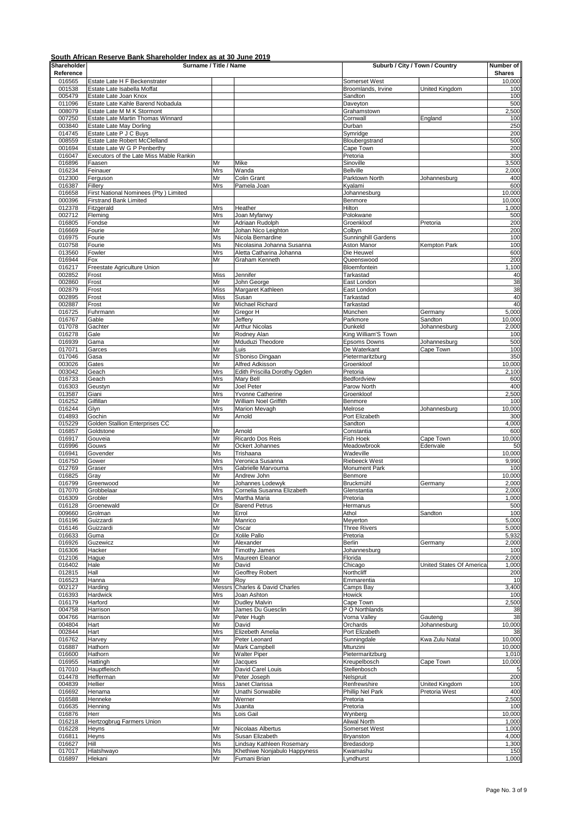| Shareholder      | Surname / Title / Name                                       |                   |                                                  | Suburb / City / Town / Country     |                                 | Number of       |
|------------------|--------------------------------------------------------------|-------------------|--------------------------------------------------|------------------------------------|---------------------------------|-----------------|
| Reference        |                                                              |                   |                                                  |                                    |                                 | <b>Shares</b>   |
| 016565           | Estate Late H F Beckenstrater<br>Estate Late Isabella Moffat |                   |                                                  | Somerset West                      |                                 | 10,000          |
| 001538<br>005479 | Estate Late Joan Knox                                        |                   |                                                  | Broomlands, Irvine<br>Sandton      | United Kingdom                  | 100<br>100      |
| 011096           | Estate Late Kahle Barend Nobadula                            |                   |                                                  | Daveyton                           |                                 | 500             |
| 008079           | Estate Late M M K Stormont                                   |                   |                                                  | Grahamstown                        |                                 | 2,500           |
| 007250           | Estate Late Martin Thomas Winnard                            |                   |                                                  | Cornwall                           | England                         | 100             |
| 003840<br>014745 | Estate Late May Dorling<br>Estate Late P J C Buys            |                   |                                                  | Durban<br>Symridge                 |                                 | 250<br>200      |
| 008559           | Estate Late Robert McClelland                                |                   |                                                  | Bloubergstrand                     |                                 | 500             |
| 001694           | Estate Late W G P Penberthy                                  |                   |                                                  | Cape Town                          |                                 | 200             |
| 016047           | Executors of the Late Miss Mable Rankin                      |                   |                                                  | Pretoria                           |                                 | 300             |
| 016896           | Faasen                                                       | Mr                | Mike                                             | Sinoville                          |                                 | 3,500           |
| 016234<br>012300 | Feinauer<br>Ferguson                                         | Mrs<br>Mr         | Wanda<br>Colin Grant                             | <b>Bellville</b><br>Parktown North | Johannesburg                    | 2,000<br>400    |
| 016387           | Fillery                                                      | Mrs               | Pamela Joan                                      | Kyalami                            |                                 | 600             |
| 016658           | First National Nominees (Pty) Limited                        |                   |                                                  | Johannesburg                       |                                 | 10,000          |
| 000396           | <b>Firstrand Bank Limited</b>                                |                   |                                                  | Benmore                            |                                 | 10,000          |
| 012378           | Fitzgerald                                                   | Mrs               | Heather                                          | Hilton                             |                                 | 1,000           |
| 002712<br>016805 | Fleming<br>Fondse                                            | Mrs<br>Mr         | Joan Myfanwy<br>Adriaan Rudolph                  | Polokwane<br>Groenkloof            | Pretoria                        | 500<br>200      |
| 016669           | Fourie                                                       | Mr                | Johan Nico Leighton                              | Colbyn                             |                                 | 200             |
| 016975           | Fourie                                                       | Ms                | Nicola Bernardine                                | Sunninghill Gardens                |                                 | 100             |
| 010758           | Fourie                                                       | Ms                | Nicolasina Johanna Susanna                       | Aston Manor                        | Kempton Park                    | 100             |
| 013560           | Fowler                                                       | Mrs               | Aletta Catharina Johanna                         | Die Heuwel                         |                                 | 600             |
| 016944<br>016217 | Fox<br>Freestate Agriculture Union                           | Mr                | Graham Kenneth                                   | Queenswood<br>Bloemfontein         |                                 | 200<br>1,100    |
| 002852           | Frost                                                        | <b>Miss</b>       | Jennifer                                         | Tarkastad                          |                                 | 40              |
| 002860           | Frost                                                        | Mr                | John George                                      | East London                        |                                 | 38              |
| 002879           | Frost                                                        | Miss              | Margaret Kathleen                                | East London                        |                                 | 38              |
| 002895           | Frost                                                        | <b>Miss</b>       | Susan                                            | Tarkastad                          |                                 | 40              |
| 002887           | Frost                                                        | Mr                | Michael Richard                                  | Tarkastad                          |                                 | 40              |
| 016725<br>016767 | Fuhrmann<br>Gable                                            | Mr<br>Mr          | Gregor H<br>Jeffery                              | München<br>Parkmore                | Germany<br>Sandton              | 5,000<br>10,000 |
| 017078           | Gachter                                                      | Mr                | <b>Arthur Nicolas</b>                            | Dunkeld                            | Johannesburg                    | 2,000           |
| 016278           | Gale                                                         | Mr                | Rodney Alan                                      | King William'S Town                |                                 | 100             |
| 016939           | Gama                                                         | Mr                | Mduduzi Theodore                                 | Epsoms Downs                       | Johannesburg                    | 500             |
| 017071           | Garces                                                       | Mr                | Luis                                             | De Waterkant                       | Cape Town                       | 100             |
| 017046           | Gasa                                                         | Mr<br>Mr          | S'boniso Dingaan                                 | Pietermaritzburg                   |                                 | 350             |
| 003026<br>003042 | Gates<br>Geach                                               | Mrs               | Alfred Adkisson<br>Edith Priscilla Dorothy Ogden | Groenkloof<br>Pretoria             |                                 | 10,000<br>2,100 |
| 016733           | Geach                                                        | Mrs               | Mary Bell                                        | Bedfordview                        |                                 | 600             |
| 016303           | Geustyn                                                      | Mr                | Joel Peter                                       | Parow North                        |                                 | 400             |
| 013587           | Giani                                                        | Mrs               | Yvonne Catherine                                 | Groenkloof                         |                                 | 2,500           |
| 016252           | Gilfillan                                                    | Mr                | William Noel Griffith                            | Benmore                            |                                 | 100             |
| 016244           | Glyn                                                         | Mrs               | <b>Marion Mevagh</b>                             | Melrose                            | Johannesburg                    | 10,000          |
| 014893<br>015229 | Gochin<br>Golden Stallion Enterprises CC                     | Mr                | Arnold                                           | Port Elizabeth<br>Sandton          |                                 | 300<br>4,000    |
| 016857           | Goldstone                                                    | Mr                | Arnold                                           | Constantia                         |                                 | 600             |
| 016917           | Gouveia                                                      | Mr                | Ricardo Dos Reis                                 | Fish Hoek                          | Cape Town                       | 10,000          |
| 016996           | Gouws                                                        | Mr                | Ockert Johannes                                  | Meadowbrook                        | Edenvale                        | 50              |
| 016941           | Govender                                                     | Ms                | Trishaana                                        | Wadeville                          |                                 | 10,000          |
| 016750           | Gower                                                        | Mrs               | Veronica Susanna                                 | <b>Riebeeck West</b>               |                                 | 9,990           |
| 012769<br>016825 | Graser<br>Gray                                               | Mrs<br>Mr         | Gabrielle Marvourna                              | Monument Park<br>Benmore           |                                 | 100<br>10,000   |
| 016799           | Greenwood                                                    | Mr                | Andrew John<br>Johannes Lodewyk                  | Bruckmühl                          | Germany                         | 2,000           |
| 017070           | Grobbelaar                                                   | Mrs               | Cornelia Susanna Elizabeth                       | Glenstantia                        |                                 | 2,000           |
| 016309           | Grobler                                                      | Mrs               | Martha Maria                                     | Pretoria                           |                                 | 1,000           |
| 016128           | Groenewald                                                   | Dr                | <b>Barend Petrus</b>                             | Hermanus                           |                                 | 500             |
| 009660           | Grolman                                                      | Mr                | Errol                                            | Athol                              | Sandton                         | 100             |
| 016196<br>016146 | Guizzardi<br>Guizzardi                                       | Mr<br>Mr          | Manrico<br>Oscar                                 | Meyerton<br><b>Three Rivers</b>    |                                 | 5,000<br>5,000  |
| 016633           | Guma                                                         | Dr                | Xolile Pallo                                     | Pretoria                           |                                 | 5,932           |
| 016926           | Guzewicz                                                     | Mr                | Alexander                                        | Berlin                             | Germany                         | 2,000           |
| 016306           | Hacker                                                       | Mr                | <b>Timothy James</b>                             | Johannesburg                       |                                 | 100             |
| 012106           | Hague                                                        | Mrs               | Maureen Eleanor                                  | Florida                            |                                 | 2,000           |
| 016402           | Hale                                                         | Mr                | David                                            | Chicago                            | United States Of America        | 1,000           |
| 012815<br>016523 | Hall<br>Hanna                                                | Mr<br>Mr          | Geoffrey Robert<br>Roy                           | Northcliff<br>Emmarentia           |                                 | 200<br>10       |
| 002127           | Harding                                                      | Messrs            | Charles & David Charles                          | Camps Bay                          |                                 | 3,400           |
| 016393           | Hardwick                                                     | Mrs               | Joan Ashton                                      | Howick                             |                                 | 100             |
| 016179           | Harford                                                      | Mr                | <b>Dudley Malvin</b>                             | Cape Town                          |                                 | 2,500           |
| 004758           | Harrison                                                     | Mr                | James Du Guesclin                                | P O Northlands                     |                                 | 38              |
| 004766           | Harrison                                                     | Mr                | Peter Hugh                                       | Vorna Valley                       | Gauteng                         | 38              |
| 004804<br>002844 | Hart<br>Hart                                                 | Mr<br>Mrs         | David<br>Elizebeth Amelia                        | Orchards<br>Port Elizabeth         | Johannesburg                    | 10,000<br>38    |
| 016762           | Harvey                                                       | Mr                | Peter Leonard                                    | Sunningdale                        | Kwa Zulu Natal                  | 10,000          |
| 016887           | Hathorn                                                      | Mr                | Mark Campbell                                    | Mtunzini                           |                                 | 10,000          |
| 016600           | Hathorn                                                      | Mr                | <b>Walter Piper</b>                              | Pietermaritzburg                   |                                 | 1,010           |
| 016955           | Hattingh                                                     | Mr                | Jacques                                          | Kreupelbosch                       | Cape Town                       | 10,000          |
| 017010           | Hauptfleisch                                                 | Mr                | David Carel Louis                                | Stellenbosch                       |                                 |                 |
| 014478           | Hefferman                                                    | Mr                | Peter Joseph                                     | Nelspruit                          |                                 | 200             |
| 004839<br>016692 | Hellier<br>Henama                                            | <b>Miss</b><br>Mr | Janet Clarissa<br>Unathi Sonwabile               | Renfrewshire<br>Phillip Nel Park   | United Kingdom<br>Pretoria West | 100<br>400      |
| 016588           | Henneke                                                      | Mr                | Werner                                           | Pretoria                           |                                 | 2,500           |
| 016635           | Henning                                                      | Ms                | Juanita                                          | Pretoria                           |                                 | 100             |
| 016876           | Herr                                                         | Ms                | Lois Gail                                        | Wynberg                            |                                 | 10,000          |
| 016218           | Hertzogbrug Farmers Union                                    |                   |                                                  | Aliwal North                       |                                 | 1,000           |
| 016228           | Heyns                                                        | Mr                | Nicolaas Albertus                                | Somerset West                      |                                 | 1,000           |
| 016811<br>016627 | Heyns<br>Hill                                                | Ms<br>Ms          | Susan Elizabeth<br>Lindsay Kathleen Rosemary     | Bryanston<br>Bredasdorp            |                                 | 4,000<br>1,300  |
| 017017           | Hlatshwayo                                                   | Ms                | Khethiwe Nonjabulo Happyness                     | Kwamashu                           |                                 | 150             |
| 016897           | Hlekani                                                      | Mr                | Fumani Brian                                     | Lyndhurst                          |                                 | 1,000           |
|                  |                                                              |                   |                                                  |                                    |                                 |                 |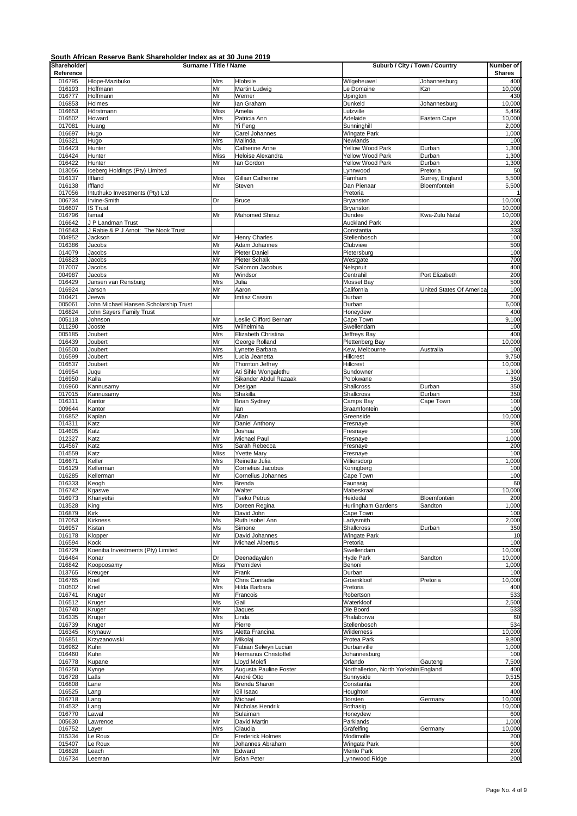| Shareholder<br>Reference | Surname / Title / Name                                   |                    |                                              | Suburb / City / Town / Country         |                          | Number of<br><b>Shares</b> |
|--------------------------|----------------------------------------------------------|--------------------|----------------------------------------------|----------------------------------------|--------------------------|----------------------------|
| 016795                   | Hlope-Mazibuko                                           | Mrs                | Hlobsile                                     | Wilgeheuwel                            | Johannesburg             | 400                        |
| 016193                   | Hoffmann                                                 | Mr                 | Martin Ludwig                                | Le Domaine                             | Kzn                      | 10,000                     |
| 016777                   | Hoffmann                                                 | Mr                 | Werner                                       | Upington                               |                          | 430                        |
| 016853<br>016653         | Holmes<br>Hörstmann                                      | Mr<br><b>Miss</b>  | lan Graham<br>Amelia                         | Dunkeld<br>Lutzville                   | Johannesburg             | 10,000<br>5,466            |
| 016502                   | Howard                                                   | Mrs                | Patricia Ann                                 | Adelaide                               | Eastern Cape             | 10,000                     |
| 017081                   | Huang                                                    | Mr                 | Yi Feng                                      | Sunninghill                            |                          | 2,000                      |
| 016697<br>016321         | Hugo<br>Hugo                                             | Mr<br>Mrs          | Carel Johannes<br>Malinda                    | Wingate Park<br>Newlands               |                          | 1,000<br>100               |
| 016423                   | Hunter                                                   | Ms                 | Catherine Anne                               | Yellow Wood Park                       | Durban                   | 1,300                      |
| 016424                   | Hunter                                                   | <b>Miss</b>        | Heloise Alexandra                            | <b>Yellow Wood Park</b>                | Durban                   | 1,300                      |
| 016422<br>013056         | Hunter<br>Iceberg Holdings (Pty) Limited                 | Mr                 | lan Gordon                                   | Yellow Wood Park<br>Lynnwood           | Durban<br>Pretoria       | 1,300<br>50                |
| 016137                   | Iffland                                                  | <b>Miss</b>        | Gillian Catherine                            | Farnham                                | Surrey, England          | 5,500                      |
| 016138                   | Iffland                                                  | Mr                 | Steven                                       | Dan Pienaar                            | Bloemfontein             | 5,500                      |
| 017056<br>006734         | Intuthuko Investments (Pty) Ltd<br>Irvine-Smith          | Dr                 | <b>Bruce</b>                                 | Pretoria<br>Bryanston                  |                          | 10,000                     |
| 016607                   | <b>IS Trust</b>                                          |                    |                                              | Bryanston                              |                          | 10,000                     |
| 016796                   | Ismail                                                   | Mr                 | Mahomed Shiraz                               | Dundee                                 | Kwa-Zulu Natal           | 10,000                     |
| 016642<br>016543         | J P Landman Trust<br>J Rabie & P J Arnot: The Nook Trust |                    |                                              | <b>Auckland Park</b><br>Constantia     |                          | 200<br>333                 |
| 004952                   | Jackson                                                  | Mr                 | <b>Henry Charles</b>                         | Stellenbosch                           |                          | 100                        |
| 016386                   | Jacobs                                                   | Mr                 | Adam Johannes                                | Clubview                               |                          | 500                        |
| 014079<br>016823         | Jacobs<br>Jacobs                                         | Mr<br>Mr           | Pieter Daniel<br>Pieter Schalk               | Pietersburg<br>Westgate                |                          | 100<br>700                 |
| 017007                   | Jacobs                                                   | Mr                 | Salomon Jacobus                              | Nelspruit                              |                          | 400                        |
| 004987                   | Jacobs                                                   | Mr                 | Windsor                                      | Centrahil                              | Port Elizabeth           | 200                        |
| 016429                   | Jansen van Rensburg                                      | Mrs                | Julia                                        | Mossel Bay                             |                          | 500                        |
| 016924<br>010421         | Jarson<br>Jeewa                                          | Mr<br>Mr           | Aaron<br>Imtiaz Cassim                       | California<br>Durban                   | United States Of America | 100<br>200                 |
| 005061                   | John Michael Hansen Scholarship Trust                    |                    |                                              | Durban                                 |                          | 6,000                      |
| 016824                   | John Sayers Family Trust                                 |                    |                                              | Honeydew                               |                          | 400                        |
| 005118<br>011290         | Johnson<br>Jooste                                        | Mr<br>Mrs          | Leslie Clifford Bernarr<br>Wilhelmina        | Cape Town<br>Swellendam                |                          | 9,100<br>100               |
| 005185                   | Joubert                                                  | Mrs                | Elizabeth Christina                          | Jeffreys Bay                           |                          | 400                        |
| 016439                   | Joubert                                                  | Mr                 | George Rolland                               | Plettenberg Bay                        |                          | 10,000                     |
| 016500                   | Joubert                                                  | Mrs                | Lynette Barbara                              | Kew, Melbourne                         | Australia                | 100                        |
| 016599<br>016537         | Joubert<br>Joubert                                       | Mrs<br>Mr          | Lucia Jeanetta<br>Thornton Jeffrey           | Hillcrest<br>Hillcrest                 |                          | 9,750<br>10,000            |
| 016954                   | Juqu                                                     | Mr                 | Ati Sihle Wongalethu                         | Sundowner                              |                          | 1,300                      |
| 016950                   | Kalla                                                    | Mr                 | Sikander Abdul Razaak                        | Polokwane                              |                          | 350                        |
| 016960<br>017015         | Kannusamy<br>Kannusamy                                   | Mr<br>Ms           | Desigan<br>Shakilla                          | <b>Shallcross</b><br><b>Shallcross</b> | Durban<br>Durban         | 350<br>350                 |
| 016311                   | Kantor                                                   | Mr                 | <b>Brian Sydney</b>                          | Camps Bay                              | Cape Town                | 100                        |
| 009644                   | Kantor                                                   | Mr                 | lan                                          | Braamfontein                           |                          | 100                        |
| 016852                   | Kaplan                                                   | Mr                 | Allan                                        | Greenside                              |                          | 10,000<br>900              |
| 014311<br>014605         | Katz<br>Katz                                             | Mr<br>Mr           | Daniel Anthony<br>Joshua                     | Fresnaye<br>Fresnaye                   |                          | 100                        |
| 012327                   | Katz                                                     | Mr                 | Michael Paul                                 | Fresnaye                               |                          | 1,000                      |
| 014567                   | Katz                                                     | Mrs                | Sarah Rebecca                                | Fresnaye                               |                          | 200                        |
| 014559<br>016671         | Katz<br>Keller                                           | <b>Miss</b><br>Mrs | <b>Yvette Mary</b><br>Reinette Julia         | Fresnaye<br>Villiersdorp               |                          | 100<br>1,000               |
| 016129                   | Kellerman                                                | Mr                 | Cornelius Jacobus                            | Koringberg                             |                          | 100                        |
| 016285                   | Kellerman                                                | Mr                 | Cornelius Johannes                           | Cape Town                              |                          | 100                        |
| 016333<br>016742         | Keogh<br>Kgaswe                                          | Mrs<br>Mr          | Brenda<br>Walter                             | Faunasig<br>Mabeskraal                 |                          | 60<br>10,000               |
| 016973                   | Khanyetsi                                                | Mr                 | <b>Tseko Petrus</b>                          | Heidedal                               | <b>Bloemfontein</b>      | 200                        |
| 013528                   | King                                                     | Mrs                | Doreen Regina                                | Hurlingham Gardens                     | Sandton                  | 1,000                      |
| 016879                   | Kirk                                                     | Mr                 | David John                                   | Cape Town                              |                          | 100                        |
| 017053<br>016957         | Kirkness<br>Kistan                                       | Ms<br>Ms           | Ruth Isobel Ann<br>Simone                    | Ladysmith<br>Shallcross                | Durban                   | 2,000<br>350               |
| 016178                   | Klopper                                                  | Mr                 | David Johannes                               | Wingate Park                           |                          | 10                         |
| 016594                   | Kock                                                     | Mr                 | Michael Albertus                             | Pretoria                               |                          | 100                        |
| 016729<br>016464         | Koeniba Investments (Pty) Limited<br>Konar               | Dr                 | Deenadayalen                                 | Swellendam<br><b>Hyde Park</b>         | Sandton                  | 10,000<br>10,000           |
| 016842                   | Koopoosamy                                               | <b>Miss</b>        | Premidevi                                    | Benoni                                 |                          | 1,000                      |
| 013765                   | Kreuger                                                  | Mr                 | Frank                                        | Durban                                 |                          | 100                        |
| 016765<br>010502         | Kriel<br>Kriel                                           | Mr<br>Mrs          | Chris Conradie<br>Hilda Barbara              | Groenkloof<br>Pretoria                 | Pretoria                 | 10,000<br>400              |
| 016741                   | Kruger                                                   | Mr                 | Francois                                     | Robertson                              |                          | 533                        |
| 016512                   | Kruger                                                   | Ms                 | Gail                                         | Waterkloof                             |                          | 2,500                      |
| 016740<br>016335         | Kruger                                                   | Mr<br>Mrs          | Jaques<br>Linda                              | Die Boord<br>Phalaborwa                |                          | 533<br>60                  |
| 016739                   | Kruger<br>Kruger                                         | Mr                 | Pierre                                       | Stellenbosch                           |                          | 534                        |
| 016345                   | Krynauw                                                  | Mrs                | Aletta Francina                              | Wilderness                             |                          | 10,000                     |
| 016851                   | Krzyzanowski                                             | Mr                 | Mikolaj                                      | Protea Park                            |                          | 9,800                      |
| 016962<br>016460         | Kuhn<br>Kuhn                                             | Mr<br>Mr           | Fabian Selwyn Lucian<br>Hermanus Christoffel | Durbanville<br>Johannesburg            |                          | 1,000<br>100               |
| 016778                   | Kupane                                                   | Mr                 | Lloyd Molefi                                 | Orlando                                | Gauteng                  | 7,500                      |
| 016250                   | Kynge                                                    | Mrs                | Augusta Pauline Foster                       | Northallerton, North Yorkshire England |                          | 400                        |
| 016728<br>016808         | Laäs<br>Lane                                             | Mr<br>Ms           | André Otto<br>Brenda Sharon                  | Sunnyside<br>Constantia                |                          | 9,515<br>200               |
| 016525                   | Lang                                                     | Mr                 | Gil Isaac                                    | Houghton                               |                          | 400                        |
| 016718                   | Lang                                                     | Mr                 | Michael                                      | Dorsten                                | Germany                  | 10,000                     |
| 014532                   | Lang                                                     | Mr                 | Nicholas Hendrik                             | Bothasig                               |                          | 10,000                     |
| 016770<br>005630         | Lawal<br>awrence                                         | Mr<br>Mr           | Sulaiman<br>David Martin                     | Honeydew<br>Parklands                  |                          | 600<br>1,000               |
| 016752                   | Layer                                                    | Mrs                | Claudia                                      | Gräfelfing                             | Germany                  | 10,000                     |
| 015334                   | Le Roux                                                  | Dr                 | <b>Frederick Holmes</b>                      | Modimolle                              |                          | 200                        |
| 015407<br>016828         | Le Roux<br>Leach                                         | Mr<br>Mr           | Johannes Abraham<br>Edward                   | Wingate Park<br>Menlo Park             |                          | 600<br>200                 |
| 016734                   | Leeman                                                   | Mr                 | <b>Brian Peter</b>                           | Lynnwood Ridge                         |                          | 200                        |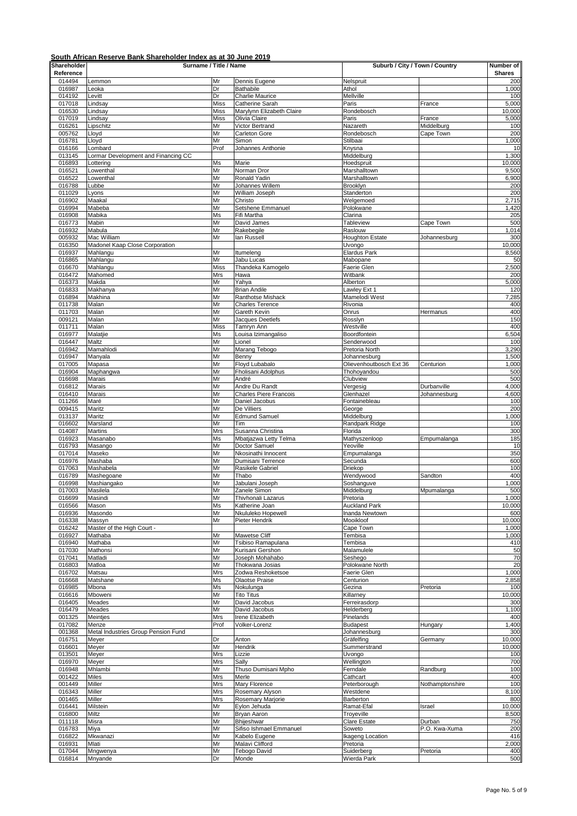| Shareholder      | Surname / Title / Name               |                   |                                                 | Suburb / City / Town / Country |                      | Number of       |
|------------------|--------------------------------------|-------------------|-------------------------------------------------|--------------------------------|----------------------|-----------------|
| Reference        |                                      |                   |                                                 |                                |                      | <b>Shares</b>   |
| 014494<br>016987 | Lemmon<br>Leoka                      | Mr<br>Dr          | Dennis Eugene<br>Bathabile                      | Nelspruit<br>Athol             |                      | 200<br>1,000    |
| 014192           | Levitt                               | Dr                | Charlie Maurice                                 | Mellville                      |                      | 100             |
| 017018           | Lindsay                              | <b>Miss</b>       | Catherine Sarah                                 | Paris                          | France               | 5,000           |
| 016530           | Lindsay                              | <b>Miss</b>       | Marylynn Elizabeth Claire                       | Rondebosch                     |                      | 10,000          |
| 017019<br>016261 | Lindsay                              | <b>Miss</b><br>Mr | Olivia Claire<br>Victor Bertrand                | Paris<br>Nazareth              | France<br>Middelburg | 5,000<br>100    |
| 005762           | Lipschitz<br>Lloyd                   | Mr                | Carleton Gore                                   | Rondebosch                     | Cape Town            | 200             |
| 016781           | Lloyd                                | Mr                | Simon                                           | Stilbaai                       |                      | 1,000           |
| 016166           | Lombard                              | Prof              | Johannes Anthonie                               | Knysna                         |                      | 10              |
| 013145           | Lormar Development and Financing CC  |                   |                                                 | Middelburg                     |                      | 1,300           |
| 016893<br>016521 | Lottering<br>Lowenthal               | Ms<br>Mr          | Marie<br>Norman Dror                            | Hoedspruit<br>Marshalltown     |                      | 10,000<br>9,500 |
| 016522           | Lowenthal                            | Mr                | Ronald Yadin                                    | Marshalltown                   |                      | 6,900           |
| 016788           | Lubbe                                | Mr                | Johannes Willem                                 | Brooklyn                       |                      | 200             |
| 011029           | Lyons                                | Mr                | William Joseph                                  | Standerton                     |                      | 200             |
| 016902           | Maakal                               | Mr                | Christo                                         | Welgemoed                      |                      | 2,715           |
| 016994<br>016908 | Mabeba<br>Mabika                     | Mr<br>Ms          | Setshene Emmanuel<br>Fifi Martha                | Polokwane<br>Clarina           |                      | 1,420<br>205    |
| 016773           | Mabin                                | Mr                | David James                                     | Tableview                      | Cape Town            | 500             |
| 016932           | Mabula                               | Mr                | Rakebegile                                      | Raslouw                        |                      | 1,014           |
| 005932           | Mac William                          | Mr                | lan Russell                                     | <b>Houghton Estate</b>         | Johannesburg         | 300             |
| 016350           | Madonel Kaap Close Corporation       |                   |                                                 | Uvongo                         |                      | 10,000          |
| 016937<br>016865 | Mahlangu<br>Mahlangu                 | Mr<br>Mr          | Itumeleng<br>Jabu Lucas                         | Elardus Park<br>Mabopane       |                      | 8,560<br>50     |
| 016670           | Mahlangu                             | <b>Miss</b>       | Thandeka Kamogelo                               | Faerie Glen                    |                      | 2,500           |
| 016472           | Mahomed                              | Mrs               | Hawa                                            | Witbank                        |                      | 200             |
| 016373           | Makda                                | Mr                | Yahya                                           | Alberton                       |                      | 5,000           |
| 016833           | Makhanya                             | Mr                | <b>Brian Andile</b>                             | Lawley Ext 1                   |                      | 120             |
| 016894<br>011738 | Makhina<br>Malan                     | Mr<br>Mr          | Ranthotse Mishack<br><b>Charles Terence</b>     | Mamelodi West<br>Rivonia       |                      | 7,285<br>400    |
| 011703           | Malan                                | Mr                | Gareth Kevin                                    | Onrus                          | Hermanus             | 400             |
| 009121           | Malan                                | Mr                | Jacques Deetlefs                                | Rosslyn                        |                      | 150             |
| 011711           | Malan                                | <b>Miss</b>       | Tamryn Ann                                      | Westville                      |                      | 400             |
| 016977           | Malatjie                             | Ms                | Louisa Izimangaliso                             | Boordfontein                   |                      | 6,504           |
| 016447<br>016942 | Maltz<br>Mamahlodi                   | Mr<br>Mr          | Lionel<br>Marang Tebogo                         | Senderwood<br>Pretoria North   |                      | 100<br>3,290    |
| 016947           | Manyala                              | Mr                | Benny                                           | Johannesburg                   |                      | 1,500           |
| 017005           | Mapasa                               | Mr                | Floyd Lubabalo                                  | Olievenhoutbosch Ext 36        | Centurion            | 1,000           |
| 016904           | Maphangwa                            | Mr                | Fholisani Adolphus                              | Thohoyandou                    |                      | 500             |
| 016698           | Marais                               | Mr                | André                                           | Clubview                       |                      | 500             |
| 016812<br>016410 | Marais<br>Marais                     | Mr<br>Mr          | Andre Du Randt<br><b>Charles Piere Francois</b> | Vergesig<br>Glenhazel          | Durbanville          | 4,000<br>4,600  |
| 011266           | Maré                                 | Mr                | Daniel Jacobus                                  | Fontainebleau                  | Johannesburg         | 100             |
| 009415           | Maritz                               | Mr                | De Villiers                                     | George                         |                      | 200             |
| 013137           | Maritz                               | Mr                | <b>Edmund Samuel</b>                            | Middelburg                     |                      | 1,000           |
| 016602           | Marsland                             | Mr                | Tim                                             | Randpark Ridge                 |                      | 100             |
| 014087<br>016923 | Martins<br>Masanabo                  | Mrs<br>Ms         | Susanna Christina<br>Mbatjazwa Letty Telma      | Florida<br>Mathyszenloop       |                      | 300<br>185      |
| 016793           | Masango                              | Mr                | Doctor Samuel                                   | Yeoville                       | Empumalanga          | 10              |
| 017014           | Maseko                               | Mr                | Nkosinathi Innocent                             | Empumalanga                    |                      | 350             |
| 016976           | Mashaba                              | Mr                | Dumisani Terrence                               | Secunda                        |                      | 600             |
| 017063           | Mashabela                            | Mr                | Rasikele Gabriel                                | Driekop                        |                      | 100             |
| 016789<br>016998 | Mashegoane<br>Mashiangako            | Mr<br>Mr          | Thabo<br>Jabulani Joseph                        | Wendywood<br>Soshanguve        | Sandton              | 400<br>1,000    |
| 017003           | Masilela                             | Mr                | Zanele Simon                                    | Middelburg                     | Mpumalanga           | 500             |
| 016699           | Masindi                              | Mr                | Thivhonali Lazarus                              | Pretoria                       |                      | 1,000           |
| 016566           | Mason                                | Ms                | Katherine Joan                                  | <b>Auckland Park</b>           |                      | 10,000          |
| 016936           | Masondo                              | Mr                | Nkululeko Hopewell                              | Inanda Newtown                 |                      | 600             |
| 016338           | Massyn<br>Master of the High Court - | Mr                | Pieter Hendrik                                  | Mooikloof<br>Cape Town         |                      | 10,000          |
| 016242<br>016927 | Mathaba                              | Mr                | Mawetse Cliff                                   | Tembisa                        |                      | 1,000<br>1,000  |
| 016940           | Mathaba                              | Mr                | Tsibiso Ramapulana                              | Tembisa                        |                      | 410             |
| 017030           | Mathonsi                             | Mr                | Kurisani Gershon                                | Malamulele                     |                      | 50              |
| 017041           | Matladi                              | Mr                | Joseph Mohahabo                                 | Seshego                        |                      | 70              |
| 016803<br>016702 | Matloa<br>Matsau                     | Mr<br>Mrs         | Thokwana Josias<br>Zodwa Reshoketsoe            | Polokwane North<br>Faerie Glen |                      | 20<br>1,000     |
| 016668           | Matshane                             | Ms                | <b>Olaotse Praise</b>                           | Centurion                      |                      | 2,858           |
| 016985           | Mbona                                | Ms                | Nokulunga                                       | Gezina                         | Pretoria             | 100             |
| 016616           | Mboweni                              | Mr                | <b>Tito Titus</b>                               | Killarney                      |                      | 10,000          |
| 016405           | Meades                               | Mr                | David Jacobus                                   | Ferreirasdorp                  |                      | 300             |
| 016479<br>001325 | Meades                               | Mr<br>Mrs         | David Jacobus<br>Irene Elizabeth                | Helderberg<br>Pinelands        |                      | 1,100<br>400    |
| 017082           | Meintjes<br>Menze                    | Prof              | Volker-Lorenz                                   | <b>Budapest</b>                | Hungary              | 1,400           |
| 001368           | Metal Industries Group Pension Fund  |                   |                                                 | Johannesburg                   |                      | 300             |
| 016751           | Meyer                                | Dr                | Anton                                           | Gräfelfing                     | Germany              | 10,000          |
| 016601           | Meyer                                | Mr                | Hendrik                                         | Summerstrand                   |                      | 10,000          |
| 013501<br>016970 | Meyer                                | Mrs               | Lizzie<br>Sally                                 | Uvongo<br>Wellington           |                      | 100             |
| 016948           | Meyer<br>Mhlambi                     | Mrs<br>Mr         | Thuso Dumisani Mpho                             | Ferndale                       | Randburg             | 700<br>100      |
| 001422           | Miles                                | Mrs               | Merle                                           | Cathcart                       |                      | 400             |
| 001449           | Miller                               | Mrs               | Mary Florence                                   | Peterborough                   | Nothamptonshire      | 100             |
| 016343           | Miller                               | Mrs               | Rosemary Alyson                                 | Westdene                       |                      | 8,100           |
| 001465           | Miller                               | Mrs               | Rosemary Marjorie                               | Barberton                      |                      | 800             |
| 016441<br>016800 | Milstein<br>Miltz                    | Mr<br>Mr          | Eylon Jehuda<br>Bryan Aaron                     | Ramat-Efal<br>Troyeville       | Israel               | 10,000<br>8,500 |
| 011118           | Misra                                | Mr                | Bhijeshwar                                      | <b>Clare Estate</b>            | Durban               | 750             |
| 016783           | Miya                                 | Mr                | Sifiso Ishmael Emmanuel                         | Soweto                         | P.O. Kwa-Xuma        | 200             |
| 016822           | Mkwanazi                             | Mr                | Kabelo Eugene                                   | <b>Ikageng Location</b>        |                      | 416             |
| 016931           | Mlati                                | Mr                | Malavi Clifford                                 | Pretoria                       |                      | 2,000           |
| 017044<br>016814 | Mngwenya<br>Mnyande                  | Mr<br>Dr          | Tebogo David<br>Monde                           | Suiderberg<br>Wierda Park      | Pretoria             | 400<br>500      |
|                  |                                      |                   |                                                 |                                |                      |                 |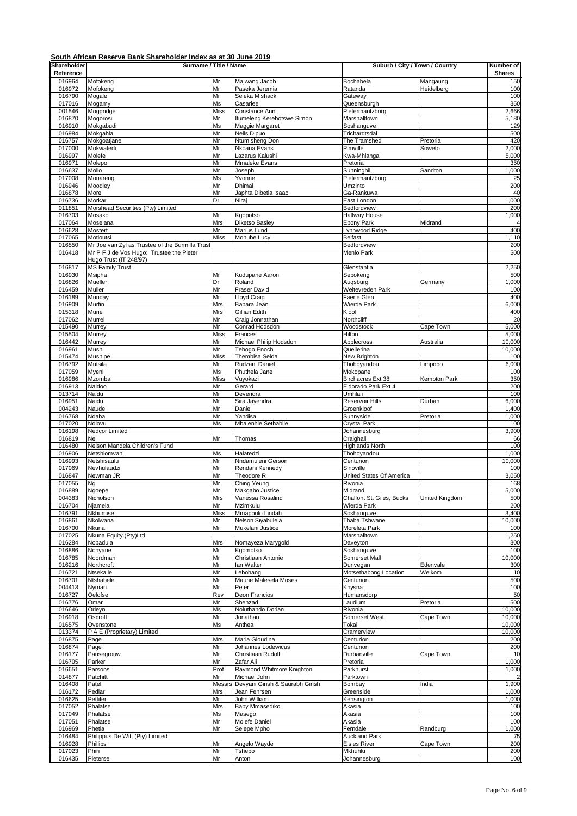| 016964<br>Bochabela<br>Mangaung<br>Mofokeng<br>Mr<br>Majwang Jacob<br>Mr<br>016972<br>Paseka Jeremia<br>Ratanda<br>Heidelberg<br>Mofokeng<br>016790<br>Mr<br>Mogale<br>Seleka Mishack<br>Gateway<br>017016<br>Mogamy<br>Ms<br>Casariee<br>Queensburgh<br>001546<br>Moggridge<br><b>Miss</b><br>Constance Ann<br>Pietermaritzburg<br>016870<br>Mogorosi<br>Mr<br>Itumeleng Kerebotswe Simon<br>Marshalltown<br>016910<br>Mokgabudi<br>Ms<br>Maggie Margaret<br>Soshanguve<br>016984<br>Mokgahla<br><b>Nells Dipuo</b><br>Mr<br>Trichardtsdal<br>016757<br>Mokgoatjane<br>Mr<br>Ntumisheng Don<br>The Tramshed<br>Pretoria<br>017000<br>Mokwatedi<br>Mr<br>Nkoana Evans<br>Pimville<br>Soweto<br>Mr<br>016997<br>Molefe<br>Lazarus Kalushi<br>Kwa-Mhlanga<br>016971<br>Molepo<br>Mr<br><b>Mmaleke Evans</b><br>Pretoria<br>016637<br>Mollo<br>Mr<br>Sunninghill<br>Sandton<br>Joseph<br>017008<br>Ms<br>Monareng<br>Yvonne<br>Pietermaritzburg<br>Mr<br>016946<br>Moodley<br>Dhimal<br>Umzinto<br>016878<br>Mr<br>Ga-Rankuwa<br>More<br>Japhta Dibetla Isaac<br>016736<br>Dr<br>Morkar<br>Niraj<br>East London<br>Morshead Securities (Pty) Limited<br>011851<br>Bedfordview<br>016703<br>Mosako<br>Mr<br>Kgopotso<br>Halfway House<br>017064<br>Moselana<br>Mrs<br><b>Diketso Basley</b><br>Ebony Park<br>Midrand<br>016628<br>Mostert<br>Mr<br>Marius Lund<br>Lynnwood Ridge<br>017065<br>Motloutsi<br>Miss<br>Mohube Lucy<br>Belfast<br>016550<br>Mr Joe van Zyl as Trustee of the Burmilla Trust<br>Bedfordview<br>Mr P F J de Vos Hugo: Trustee the Pieter<br><b>Menlo Park</b><br>016418<br>Hugo Trust (IT 248/97)<br><b>MS Family Trust</b><br>016817<br>Glenstantia<br>Mr<br>016930<br>Msipha<br>Kudupane Aaron<br>Sebokeng<br>016826<br>Dr<br>Mueller<br>Roland<br>Augsburg<br>Germany<br>Mr<br>016459<br>Muller<br><b>Fraser David</b><br>Weltevreden Park<br>016189<br>Mr<br><b>Lloyd Craig</b><br>Faerie Glen<br>Munday<br>016909<br>Murfin<br>Mrs<br>Babara Jean<br>Wierda Park<br>015318<br>Murie<br>Mrs<br>Gillian Edith<br>Kloof<br>017062<br>Murrel<br>Mr<br>Craig Jonnathan<br>Northcliff<br>015490<br>Conrad Hodsdon<br>Woodstock<br>Murrey<br>Mr<br>Cape Town<br>015504<br>Miss<br>Hilton<br>Murrey<br>Frances<br>016442<br>Murrey<br>Mr<br>Michael Philip Hodsdon<br>Applecross<br>Australia<br>016961<br>Mushi<br>Mr<br>Tebogo Enoch<br>Quellerina<br>Thembisa Selda<br>015474<br>Mushipe<br><b>Miss</b><br>New Brighton<br>016792<br>Mr<br>Rudzani Daniel<br>Mutsila<br>Thohoyandou<br>Limpopo<br>017059<br>Myeni<br>Ms<br>Phuthela Jane<br>Mokopane<br>016986<br>Birchacres Ext 38<br>Mzomba<br>Miss<br>Vuyokazi<br>Kempton Park<br>016913<br>Mr<br>Gerard<br>Eldorado Park Ext 4<br>Naidoo<br>Mr<br>Umhlali<br>013714<br>Naidu<br>Devendra<br>016951<br>Naidu<br>Mr<br>Sira Jayendra<br>Reservoir Hills<br>Durban<br>004243<br>Naude<br>Mr<br>Groenkloof<br>Daniel<br>016768<br>Mr<br>Ndaba<br>Yandisa<br>Sunnyside<br>Pretoria<br>017020<br>Ndlovu<br>Ms<br>Mbalenhle Sethabile<br>Crystal Park<br>016198<br>Nedcor Limited<br>Johannesburg<br>016819<br>Mr<br>Craighall<br>Nel<br>Thomas<br>016480<br>Nelson Mandela Children's Fund<br><b>Highlands North</b><br>016906<br>Netshiomvani<br>Thohoyandou<br>Ms<br>Halatedzi<br>016993<br>Mr<br>Nndamuleni Gerson<br>Netshisaulu<br>Centurion<br>Mr<br>017069<br>Nevhulaudzi<br>Rendani Kennedy<br>Sinoville<br>016847<br>Newman JR<br>Mr<br>Theodore R<br>United States Of America<br>017055<br>Ching Yeung<br>Mr<br>Rivonia<br>Ng<br>016889<br>Mr<br>Ngoepe<br>Makgabo Justice<br>Midrand<br>004383<br>Nicholson<br>Mrs<br>Vanessa Rosalind<br>Chalfont St. Giles, Bucks<br>United Kingdom<br>016704<br>Njamela<br>Mr<br>Mzimkulu<br>Wierda Park<br>016791<br>Nkhumise<br>Mmapoulo Lindah<br>Soshanguve<br>Miss<br>016861<br>Nkolwana<br>Mr<br>Nelson Siyabulela<br>Thaba Tshwane<br>016700<br>Nkuna<br>Mr<br>Mukelani Justice<br>Moreleta Park<br>017025<br>Nkuna Equity (Pty)Ltd<br>Marshalltown<br>016284<br>Nobadula<br>Nomayeza Marygold<br>Daveyton<br>Mrs<br>016886<br>Mr<br>Kgomotso<br>Soshanguve<br>Nonyane<br>016785<br>Noordman<br>Mr<br>Christiaan Antonie<br>Somerset Mall<br>016216<br>Northcroft<br>Mr<br>lan Walter<br>Dunvegan<br>Edenvale<br>016721<br>Ntsekalle<br>Mr<br>Lebohang<br>Motsethabong Location<br>Welkom<br>Mr<br>016701<br>Ntshabele<br>Maune Malesela Moses<br>Centurion<br>004413<br>Nyman<br>Mr<br>Peter<br>Knysna<br>Deon Francios<br>016727<br>Humansdorp<br>Oelofse<br>Rev<br>016776<br>Omar<br>Mr<br>Shehzad<br>Laudium<br>Pretoria<br>016646<br>Ms<br>Noluthando Dorian<br>Rivonia<br>Orleyn<br>016918<br>Somerset West<br>Oscroft<br>Mr<br>Jonathan<br>Cape Town<br>016575<br>Ms<br>Ovenstone<br>Anthea<br>Tokai<br>013374<br>P A E (Proprietary) Limited<br>Cramerview<br>Maria Gloudina<br>016875<br>Page<br>Mrs<br>Centurion<br>016874<br>Mr<br>Johannes Lodewicus<br>Centurion<br>Page<br>016177<br>Pansegrouw<br>Mr<br>Christiaan Rudolf<br>Durbanville<br>Cape Town<br>016705<br>Parker<br>Mr<br>Zafar Ali<br>Pretoria<br>016651<br>Parsons<br>Prof<br>Raymond Whitmore Knighton<br>Parkhurst<br>014877<br>Patchitt<br>Michael John<br>Parktown<br>Mr<br>Devyani Girish & Saurabh Girish<br>016408<br>Patel<br>Messrs<br>Bombay<br>India<br>Pedlar<br>016172<br>Mrs<br>Jean Fehrsen<br>Greenside<br>016625<br>Pettifer<br>John William<br>Kensington<br>Mr<br>017052<br>Phalatse<br>Mrs<br>Baby Mmasediko<br>Akasia<br>017049<br>Phalatse<br>Ms<br>Masego<br>Akasia<br>Molefe Daniel<br>Akasia<br>017051<br>Phalatse<br>Mr<br>016969<br>Mr<br>Selepe Mpho<br>Ferndale<br>Phetla<br>Randburg<br><b>Auckland Park</b><br>016484<br>Philippus De Witt (Pty) Limited | 10,000<br>016928<br>Phillips<br>Mr<br>Angelo Wayde<br><b>Elsies River</b><br>Cape Town<br>017023<br>Mr<br>Mkhuhlu<br>Phiri<br>Tshepo | Shareholder<br>Reference | Surname / Title / Name |    |       | Suburb / City / Town / Country |  | Number of<br><b>Shares</b> |
|-------------------------------------------------------------------------------------------------------------------------------------------------------------------------------------------------------------------------------------------------------------------------------------------------------------------------------------------------------------------------------------------------------------------------------------------------------------------------------------------------------------------------------------------------------------------------------------------------------------------------------------------------------------------------------------------------------------------------------------------------------------------------------------------------------------------------------------------------------------------------------------------------------------------------------------------------------------------------------------------------------------------------------------------------------------------------------------------------------------------------------------------------------------------------------------------------------------------------------------------------------------------------------------------------------------------------------------------------------------------------------------------------------------------------------------------------------------------------------------------------------------------------------------------------------------------------------------------------------------------------------------------------------------------------------------------------------------------------------------------------------------------------------------------------------------------------------------------------------------------------------------------------------------------------------------------------------------------------------------------------------------------------------------------------------------------------------------------------------------------------------------------------------------------------------------------------------------------------------------------------------------------------------------------------------------------------------------------------------------------------------------------------------------------------------------------------------------------------------------------------------------------------------------------------------------------------------------------------------------------------------------------------------------------------------------------------------------------------------------------------------------------------------------------------------------------------------------------------------------------------------------------------------------------------------------------------------------------------------------------------------------------------------------------------------------------------------------------------------------------------------------------------------------------------------------------------------------------------------------------------------------------------------------------------------------------------------------------------------------------------------------------------------------------------------------------------------------------------------------------------------------------------------------------------------------------------------------------------------------------------------------------------------------------------------------------------------------------------------------------------------------------------------------------------------------------------------------------------------------------------------------------------------------------------------------------------------------------------------------------------------------------------------------------------------------------------------------------------------------------------------------------------------------------------------------------------------------------------------------------------------------------------------------------------------------------------------------------------------------------------------------------------------------------------------------------------------------------------------------------------------------------------------------------------------------------------------------------------------------------------------------------------------------------------------------------------------------------------------------------------------------------------------------------------------------------------------------------------------------------------------------------------------------------------------------------------------------------------------------------------------------------------------------------------------------------------------------------------------------------------------------------------------------------------------------------------------------------------------------------------------------------------------------------------------------------------------------------------------------------------------------------------------------------------------------------------------------------------------------------------------------------------------------------------------------------------------------------------------------------------------------------------------------------------------------------|--------------------------------------------------------------------------------------------------------------------------------------|--------------------------|------------------------|----|-------|--------------------------------|--|----------------------------|
|                                                                                                                                                                                                                                                                                                                                                                                                                                                                                                                                                                                                                                                                                                                                                                                                                                                                                                                                                                                                                                                                                                                                                                                                                                                                                                                                                                                                                                                                                                                                                                                                                                                                                                                                                                                                                                                                                                                                                                                                                                                                                                                                                                                                                                                                                                                                                                                                                                                                                                                                                                                                                                                                                                                                                                                                                                                                                                                                                                                                                                                                                                                                                                                                                                                                                                                                                                                                                                                                                                                                                                                                                                                                                                                                                                                                                                                                                                                                                                                                                                                                                                                                                                                                                                                                                                                                                                                                                                                                                                                                                                                                                                                                                                                                                                                                                                                                                                                                                                                                                                                                                                                                                                                                                                                                                                                                                                                                                                                                                                                                                                                                                                                                                           |                                                                                                                                      |                          |                        |    |       |                                |  | 150                        |
|                                                                                                                                                                                                                                                                                                                                                                                                                                                                                                                                                                                                                                                                                                                                                                                                                                                                                                                                                                                                                                                                                                                                                                                                                                                                                                                                                                                                                                                                                                                                                                                                                                                                                                                                                                                                                                                                                                                                                                                                                                                                                                                                                                                                                                                                                                                                                                                                                                                                                                                                                                                                                                                                                                                                                                                                                                                                                                                                                                                                                                                                                                                                                                                                                                                                                                                                                                                                                                                                                                                                                                                                                                                                                                                                                                                                                                                                                                                                                                                                                                                                                                                                                                                                                                                                                                                                                                                                                                                                                                                                                                                                                                                                                                                                                                                                                                                                                                                                                                                                                                                                                                                                                                                                                                                                                                                                                                                                                                                                                                                                                                                                                                                                                           |                                                                                                                                      |                          |                        |    |       |                                |  | 100                        |
|                                                                                                                                                                                                                                                                                                                                                                                                                                                                                                                                                                                                                                                                                                                                                                                                                                                                                                                                                                                                                                                                                                                                                                                                                                                                                                                                                                                                                                                                                                                                                                                                                                                                                                                                                                                                                                                                                                                                                                                                                                                                                                                                                                                                                                                                                                                                                                                                                                                                                                                                                                                                                                                                                                                                                                                                                                                                                                                                                                                                                                                                                                                                                                                                                                                                                                                                                                                                                                                                                                                                                                                                                                                                                                                                                                                                                                                                                                                                                                                                                                                                                                                                                                                                                                                                                                                                                                                                                                                                                                                                                                                                                                                                                                                                                                                                                                                                                                                                                                                                                                                                                                                                                                                                                                                                                                                                                                                                                                                                                                                                                                                                                                                                                           |                                                                                                                                      |                          |                        |    |       |                                |  | 100                        |
|                                                                                                                                                                                                                                                                                                                                                                                                                                                                                                                                                                                                                                                                                                                                                                                                                                                                                                                                                                                                                                                                                                                                                                                                                                                                                                                                                                                                                                                                                                                                                                                                                                                                                                                                                                                                                                                                                                                                                                                                                                                                                                                                                                                                                                                                                                                                                                                                                                                                                                                                                                                                                                                                                                                                                                                                                                                                                                                                                                                                                                                                                                                                                                                                                                                                                                                                                                                                                                                                                                                                                                                                                                                                                                                                                                                                                                                                                                                                                                                                                                                                                                                                                                                                                                                                                                                                                                                                                                                                                                                                                                                                                                                                                                                                                                                                                                                                                                                                                                                                                                                                                                                                                                                                                                                                                                                                                                                                                                                                                                                                                                                                                                                                                           |                                                                                                                                      |                          |                        |    |       |                                |  | 350                        |
|                                                                                                                                                                                                                                                                                                                                                                                                                                                                                                                                                                                                                                                                                                                                                                                                                                                                                                                                                                                                                                                                                                                                                                                                                                                                                                                                                                                                                                                                                                                                                                                                                                                                                                                                                                                                                                                                                                                                                                                                                                                                                                                                                                                                                                                                                                                                                                                                                                                                                                                                                                                                                                                                                                                                                                                                                                                                                                                                                                                                                                                                                                                                                                                                                                                                                                                                                                                                                                                                                                                                                                                                                                                                                                                                                                                                                                                                                                                                                                                                                                                                                                                                                                                                                                                                                                                                                                                                                                                                                                                                                                                                                                                                                                                                                                                                                                                                                                                                                                                                                                                                                                                                                                                                                                                                                                                                                                                                                                                                                                                                                                                                                                                                                           |                                                                                                                                      |                          |                        |    |       |                                |  | 2,666<br>5,180             |
|                                                                                                                                                                                                                                                                                                                                                                                                                                                                                                                                                                                                                                                                                                                                                                                                                                                                                                                                                                                                                                                                                                                                                                                                                                                                                                                                                                                                                                                                                                                                                                                                                                                                                                                                                                                                                                                                                                                                                                                                                                                                                                                                                                                                                                                                                                                                                                                                                                                                                                                                                                                                                                                                                                                                                                                                                                                                                                                                                                                                                                                                                                                                                                                                                                                                                                                                                                                                                                                                                                                                                                                                                                                                                                                                                                                                                                                                                                                                                                                                                                                                                                                                                                                                                                                                                                                                                                                                                                                                                                                                                                                                                                                                                                                                                                                                                                                                                                                                                                                                                                                                                                                                                                                                                                                                                                                                                                                                                                                                                                                                                                                                                                                                                           |                                                                                                                                      |                          |                        |    |       |                                |  | 129                        |
|                                                                                                                                                                                                                                                                                                                                                                                                                                                                                                                                                                                                                                                                                                                                                                                                                                                                                                                                                                                                                                                                                                                                                                                                                                                                                                                                                                                                                                                                                                                                                                                                                                                                                                                                                                                                                                                                                                                                                                                                                                                                                                                                                                                                                                                                                                                                                                                                                                                                                                                                                                                                                                                                                                                                                                                                                                                                                                                                                                                                                                                                                                                                                                                                                                                                                                                                                                                                                                                                                                                                                                                                                                                                                                                                                                                                                                                                                                                                                                                                                                                                                                                                                                                                                                                                                                                                                                                                                                                                                                                                                                                                                                                                                                                                                                                                                                                                                                                                                                                                                                                                                                                                                                                                                                                                                                                                                                                                                                                                                                                                                                                                                                                                                           |                                                                                                                                      |                          |                        |    |       |                                |  | 500                        |
|                                                                                                                                                                                                                                                                                                                                                                                                                                                                                                                                                                                                                                                                                                                                                                                                                                                                                                                                                                                                                                                                                                                                                                                                                                                                                                                                                                                                                                                                                                                                                                                                                                                                                                                                                                                                                                                                                                                                                                                                                                                                                                                                                                                                                                                                                                                                                                                                                                                                                                                                                                                                                                                                                                                                                                                                                                                                                                                                                                                                                                                                                                                                                                                                                                                                                                                                                                                                                                                                                                                                                                                                                                                                                                                                                                                                                                                                                                                                                                                                                                                                                                                                                                                                                                                                                                                                                                                                                                                                                                                                                                                                                                                                                                                                                                                                                                                                                                                                                                                                                                                                                                                                                                                                                                                                                                                                                                                                                                                                                                                                                                                                                                                                                           |                                                                                                                                      |                          |                        |    |       |                                |  | 420                        |
|                                                                                                                                                                                                                                                                                                                                                                                                                                                                                                                                                                                                                                                                                                                                                                                                                                                                                                                                                                                                                                                                                                                                                                                                                                                                                                                                                                                                                                                                                                                                                                                                                                                                                                                                                                                                                                                                                                                                                                                                                                                                                                                                                                                                                                                                                                                                                                                                                                                                                                                                                                                                                                                                                                                                                                                                                                                                                                                                                                                                                                                                                                                                                                                                                                                                                                                                                                                                                                                                                                                                                                                                                                                                                                                                                                                                                                                                                                                                                                                                                                                                                                                                                                                                                                                                                                                                                                                                                                                                                                                                                                                                                                                                                                                                                                                                                                                                                                                                                                                                                                                                                                                                                                                                                                                                                                                                                                                                                                                                                                                                                                                                                                                                                           |                                                                                                                                      |                          |                        |    |       |                                |  | 2,000                      |
|                                                                                                                                                                                                                                                                                                                                                                                                                                                                                                                                                                                                                                                                                                                                                                                                                                                                                                                                                                                                                                                                                                                                                                                                                                                                                                                                                                                                                                                                                                                                                                                                                                                                                                                                                                                                                                                                                                                                                                                                                                                                                                                                                                                                                                                                                                                                                                                                                                                                                                                                                                                                                                                                                                                                                                                                                                                                                                                                                                                                                                                                                                                                                                                                                                                                                                                                                                                                                                                                                                                                                                                                                                                                                                                                                                                                                                                                                                                                                                                                                                                                                                                                                                                                                                                                                                                                                                                                                                                                                                                                                                                                                                                                                                                                                                                                                                                                                                                                                                                                                                                                                                                                                                                                                                                                                                                                                                                                                                                                                                                                                                                                                                                                                           |                                                                                                                                      |                          |                        |    |       |                                |  | 5,000<br>350               |
|                                                                                                                                                                                                                                                                                                                                                                                                                                                                                                                                                                                                                                                                                                                                                                                                                                                                                                                                                                                                                                                                                                                                                                                                                                                                                                                                                                                                                                                                                                                                                                                                                                                                                                                                                                                                                                                                                                                                                                                                                                                                                                                                                                                                                                                                                                                                                                                                                                                                                                                                                                                                                                                                                                                                                                                                                                                                                                                                                                                                                                                                                                                                                                                                                                                                                                                                                                                                                                                                                                                                                                                                                                                                                                                                                                                                                                                                                                                                                                                                                                                                                                                                                                                                                                                                                                                                                                                                                                                                                                                                                                                                                                                                                                                                                                                                                                                                                                                                                                                                                                                                                                                                                                                                                                                                                                                                                                                                                                                                                                                                                                                                                                                                                           |                                                                                                                                      |                          |                        |    |       |                                |  | 1,000                      |
|                                                                                                                                                                                                                                                                                                                                                                                                                                                                                                                                                                                                                                                                                                                                                                                                                                                                                                                                                                                                                                                                                                                                                                                                                                                                                                                                                                                                                                                                                                                                                                                                                                                                                                                                                                                                                                                                                                                                                                                                                                                                                                                                                                                                                                                                                                                                                                                                                                                                                                                                                                                                                                                                                                                                                                                                                                                                                                                                                                                                                                                                                                                                                                                                                                                                                                                                                                                                                                                                                                                                                                                                                                                                                                                                                                                                                                                                                                                                                                                                                                                                                                                                                                                                                                                                                                                                                                                                                                                                                                                                                                                                                                                                                                                                                                                                                                                                                                                                                                                                                                                                                                                                                                                                                                                                                                                                                                                                                                                                                                                                                                                                                                                                                           |                                                                                                                                      |                          |                        |    |       |                                |  | 25                         |
|                                                                                                                                                                                                                                                                                                                                                                                                                                                                                                                                                                                                                                                                                                                                                                                                                                                                                                                                                                                                                                                                                                                                                                                                                                                                                                                                                                                                                                                                                                                                                                                                                                                                                                                                                                                                                                                                                                                                                                                                                                                                                                                                                                                                                                                                                                                                                                                                                                                                                                                                                                                                                                                                                                                                                                                                                                                                                                                                                                                                                                                                                                                                                                                                                                                                                                                                                                                                                                                                                                                                                                                                                                                                                                                                                                                                                                                                                                                                                                                                                                                                                                                                                                                                                                                                                                                                                                                                                                                                                                                                                                                                                                                                                                                                                                                                                                                                                                                                                                                                                                                                                                                                                                                                                                                                                                                                                                                                                                                                                                                                                                                                                                                                                           |                                                                                                                                      |                          |                        |    |       |                                |  | 200                        |
|                                                                                                                                                                                                                                                                                                                                                                                                                                                                                                                                                                                                                                                                                                                                                                                                                                                                                                                                                                                                                                                                                                                                                                                                                                                                                                                                                                                                                                                                                                                                                                                                                                                                                                                                                                                                                                                                                                                                                                                                                                                                                                                                                                                                                                                                                                                                                                                                                                                                                                                                                                                                                                                                                                                                                                                                                                                                                                                                                                                                                                                                                                                                                                                                                                                                                                                                                                                                                                                                                                                                                                                                                                                                                                                                                                                                                                                                                                                                                                                                                                                                                                                                                                                                                                                                                                                                                                                                                                                                                                                                                                                                                                                                                                                                                                                                                                                                                                                                                                                                                                                                                                                                                                                                                                                                                                                                                                                                                                                                                                                                                                                                                                                                                           |                                                                                                                                      |                          |                        |    |       |                                |  | 40                         |
|                                                                                                                                                                                                                                                                                                                                                                                                                                                                                                                                                                                                                                                                                                                                                                                                                                                                                                                                                                                                                                                                                                                                                                                                                                                                                                                                                                                                                                                                                                                                                                                                                                                                                                                                                                                                                                                                                                                                                                                                                                                                                                                                                                                                                                                                                                                                                                                                                                                                                                                                                                                                                                                                                                                                                                                                                                                                                                                                                                                                                                                                                                                                                                                                                                                                                                                                                                                                                                                                                                                                                                                                                                                                                                                                                                                                                                                                                                                                                                                                                                                                                                                                                                                                                                                                                                                                                                                                                                                                                                                                                                                                                                                                                                                                                                                                                                                                                                                                                                                                                                                                                                                                                                                                                                                                                                                                                                                                                                                                                                                                                                                                                                                                                           |                                                                                                                                      |                          |                        |    |       |                                |  | 1,000<br>200               |
|                                                                                                                                                                                                                                                                                                                                                                                                                                                                                                                                                                                                                                                                                                                                                                                                                                                                                                                                                                                                                                                                                                                                                                                                                                                                                                                                                                                                                                                                                                                                                                                                                                                                                                                                                                                                                                                                                                                                                                                                                                                                                                                                                                                                                                                                                                                                                                                                                                                                                                                                                                                                                                                                                                                                                                                                                                                                                                                                                                                                                                                                                                                                                                                                                                                                                                                                                                                                                                                                                                                                                                                                                                                                                                                                                                                                                                                                                                                                                                                                                                                                                                                                                                                                                                                                                                                                                                                                                                                                                                                                                                                                                                                                                                                                                                                                                                                                                                                                                                                                                                                                                                                                                                                                                                                                                                                                                                                                                                                                                                                                                                                                                                                                                           |                                                                                                                                      |                          |                        |    |       |                                |  | 1,000                      |
|                                                                                                                                                                                                                                                                                                                                                                                                                                                                                                                                                                                                                                                                                                                                                                                                                                                                                                                                                                                                                                                                                                                                                                                                                                                                                                                                                                                                                                                                                                                                                                                                                                                                                                                                                                                                                                                                                                                                                                                                                                                                                                                                                                                                                                                                                                                                                                                                                                                                                                                                                                                                                                                                                                                                                                                                                                                                                                                                                                                                                                                                                                                                                                                                                                                                                                                                                                                                                                                                                                                                                                                                                                                                                                                                                                                                                                                                                                                                                                                                                                                                                                                                                                                                                                                                                                                                                                                                                                                                                                                                                                                                                                                                                                                                                                                                                                                                                                                                                                                                                                                                                                                                                                                                                                                                                                                                                                                                                                                                                                                                                                                                                                                                                           |                                                                                                                                      |                          |                        |    |       |                                |  |                            |
|                                                                                                                                                                                                                                                                                                                                                                                                                                                                                                                                                                                                                                                                                                                                                                                                                                                                                                                                                                                                                                                                                                                                                                                                                                                                                                                                                                                                                                                                                                                                                                                                                                                                                                                                                                                                                                                                                                                                                                                                                                                                                                                                                                                                                                                                                                                                                                                                                                                                                                                                                                                                                                                                                                                                                                                                                                                                                                                                                                                                                                                                                                                                                                                                                                                                                                                                                                                                                                                                                                                                                                                                                                                                                                                                                                                                                                                                                                                                                                                                                                                                                                                                                                                                                                                                                                                                                                                                                                                                                                                                                                                                                                                                                                                                                                                                                                                                                                                                                                                                                                                                                                                                                                                                                                                                                                                                                                                                                                                                                                                                                                                                                                                                                           |                                                                                                                                      |                          |                        |    |       |                                |  | 400                        |
|                                                                                                                                                                                                                                                                                                                                                                                                                                                                                                                                                                                                                                                                                                                                                                                                                                                                                                                                                                                                                                                                                                                                                                                                                                                                                                                                                                                                                                                                                                                                                                                                                                                                                                                                                                                                                                                                                                                                                                                                                                                                                                                                                                                                                                                                                                                                                                                                                                                                                                                                                                                                                                                                                                                                                                                                                                                                                                                                                                                                                                                                                                                                                                                                                                                                                                                                                                                                                                                                                                                                                                                                                                                                                                                                                                                                                                                                                                                                                                                                                                                                                                                                                                                                                                                                                                                                                                                                                                                                                                                                                                                                                                                                                                                                                                                                                                                                                                                                                                                                                                                                                                                                                                                                                                                                                                                                                                                                                                                                                                                                                                                                                                                                                           |                                                                                                                                      |                          |                        |    |       |                                |  | 1,110                      |
|                                                                                                                                                                                                                                                                                                                                                                                                                                                                                                                                                                                                                                                                                                                                                                                                                                                                                                                                                                                                                                                                                                                                                                                                                                                                                                                                                                                                                                                                                                                                                                                                                                                                                                                                                                                                                                                                                                                                                                                                                                                                                                                                                                                                                                                                                                                                                                                                                                                                                                                                                                                                                                                                                                                                                                                                                                                                                                                                                                                                                                                                                                                                                                                                                                                                                                                                                                                                                                                                                                                                                                                                                                                                                                                                                                                                                                                                                                                                                                                                                                                                                                                                                                                                                                                                                                                                                                                                                                                                                                                                                                                                                                                                                                                                                                                                                                                                                                                                                                                                                                                                                                                                                                                                                                                                                                                                                                                                                                                                                                                                                                                                                                                                                           |                                                                                                                                      |                          |                        |    |       |                                |  | 200<br>500                 |
|                                                                                                                                                                                                                                                                                                                                                                                                                                                                                                                                                                                                                                                                                                                                                                                                                                                                                                                                                                                                                                                                                                                                                                                                                                                                                                                                                                                                                                                                                                                                                                                                                                                                                                                                                                                                                                                                                                                                                                                                                                                                                                                                                                                                                                                                                                                                                                                                                                                                                                                                                                                                                                                                                                                                                                                                                                                                                                                                                                                                                                                                                                                                                                                                                                                                                                                                                                                                                                                                                                                                                                                                                                                                                                                                                                                                                                                                                                                                                                                                                                                                                                                                                                                                                                                                                                                                                                                                                                                                                                                                                                                                                                                                                                                                                                                                                                                                                                                                                                                                                                                                                                                                                                                                                                                                                                                                                                                                                                                                                                                                                                                                                                                                                           |                                                                                                                                      |                          |                        |    |       |                                |  |                            |
|                                                                                                                                                                                                                                                                                                                                                                                                                                                                                                                                                                                                                                                                                                                                                                                                                                                                                                                                                                                                                                                                                                                                                                                                                                                                                                                                                                                                                                                                                                                                                                                                                                                                                                                                                                                                                                                                                                                                                                                                                                                                                                                                                                                                                                                                                                                                                                                                                                                                                                                                                                                                                                                                                                                                                                                                                                                                                                                                                                                                                                                                                                                                                                                                                                                                                                                                                                                                                                                                                                                                                                                                                                                                                                                                                                                                                                                                                                                                                                                                                                                                                                                                                                                                                                                                                                                                                                                                                                                                                                                                                                                                                                                                                                                                                                                                                                                                                                                                                                                                                                                                                                                                                                                                                                                                                                                                                                                                                                                                                                                                                                                                                                                                                           |                                                                                                                                      |                          |                        |    |       |                                |  | 2,250                      |
|                                                                                                                                                                                                                                                                                                                                                                                                                                                                                                                                                                                                                                                                                                                                                                                                                                                                                                                                                                                                                                                                                                                                                                                                                                                                                                                                                                                                                                                                                                                                                                                                                                                                                                                                                                                                                                                                                                                                                                                                                                                                                                                                                                                                                                                                                                                                                                                                                                                                                                                                                                                                                                                                                                                                                                                                                                                                                                                                                                                                                                                                                                                                                                                                                                                                                                                                                                                                                                                                                                                                                                                                                                                                                                                                                                                                                                                                                                                                                                                                                                                                                                                                                                                                                                                                                                                                                                                                                                                                                                                                                                                                                                                                                                                                                                                                                                                                                                                                                                                                                                                                                                                                                                                                                                                                                                                                                                                                                                                                                                                                                                                                                                                                                           |                                                                                                                                      |                          |                        |    |       |                                |  | 500                        |
|                                                                                                                                                                                                                                                                                                                                                                                                                                                                                                                                                                                                                                                                                                                                                                                                                                                                                                                                                                                                                                                                                                                                                                                                                                                                                                                                                                                                                                                                                                                                                                                                                                                                                                                                                                                                                                                                                                                                                                                                                                                                                                                                                                                                                                                                                                                                                                                                                                                                                                                                                                                                                                                                                                                                                                                                                                                                                                                                                                                                                                                                                                                                                                                                                                                                                                                                                                                                                                                                                                                                                                                                                                                                                                                                                                                                                                                                                                                                                                                                                                                                                                                                                                                                                                                                                                                                                                                                                                                                                                                                                                                                                                                                                                                                                                                                                                                                                                                                                                                                                                                                                                                                                                                                                                                                                                                                                                                                                                                                                                                                                                                                                                                                                           |                                                                                                                                      |                          |                        |    |       |                                |  | 1,000                      |
|                                                                                                                                                                                                                                                                                                                                                                                                                                                                                                                                                                                                                                                                                                                                                                                                                                                                                                                                                                                                                                                                                                                                                                                                                                                                                                                                                                                                                                                                                                                                                                                                                                                                                                                                                                                                                                                                                                                                                                                                                                                                                                                                                                                                                                                                                                                                                                                                                                                                                                                                                                                                                                                                                                                                                                                                                                                                                                                                                                                                                                                                                                                                                                                                                                                                                                                                                                                                                                                                                                                                                                                                                                                                                                                                                                                                                                                                                                                                                                                                                                                                                                                                                                                                                                                                                                                                                                                                                                                                                                                                                                                                                                                                                                                                                                                                                                                                                                                                                                                                                                                                                                                                                                                                                                                                                                                                                                                                                                                                                                                                                                                                                                                                                           |                                                                                                                                      |                          |                        |    |       |                                |  | 100<br>400                 |
|                                                                                                                                                                                                                                                                                                                                                                                                                                                                                                                                                                                                                                                                                                                                                                                                                                                                                                                                                                                                                                                                                                                                                                                                                                                                                                                                                                                                                                                                                                                                                                                                                                                                                                                                                                                                                                                                                                                                                                                                                                                                                                                                                                                                                                                                                                                                                                                                                                                                                                                                                                                                                                                                                                                                                                                                                                                                                                                                                                                                                                                                                                                                                                                                                                                                                                                                                                                                                                                                                                                                                                                                                                                                                                                                                                                                                                                                                                                                                                                                                                                                                                                                                                                                                                                                                                                                                                                                                                                                                                                                                                                                                                                                                                                                                                                                                                                                                                                                                                                                                                                                                                                                                                                                                                                                                                                                                                                                                                                                                                                                                                                                                                                                                           |                                                                                                                                      |                          |                        |    |       |                                |  | 6,000                      |
|                                                                                                                                                                                                                                                                                                                                                                                                                                                                                                                                                                                                                                                                                                                                                                                                                                                                                                                                                                                                                                                                                                                                                                                                                                                                                                                                                                                                                                                                                                                                                                                                                                                                                                                                                                                                                                                                                                                                                                                                                                                                                                                                                                                                                                                                                                                                                                                                                                                                                                                                                                                                                                                                                                                                                                                                                                                                                                                                                                                                                                                                                                                                                                                                                                                                                                                                                                                                                                                                                                                                                                                                                                                                                                                                                                                                                                                                                                                                                                                                                                                                                                                                                                                                                                                                                                                                                                                                                                                                                                                                                                                                                                                                                                                                                                                                                                                                                                                                                                                                                                                                                                                                                                                                                                                                                                                                                                                                                                                                                                                                                                                                                                                                                           |                                                                                                                                      |                          |                        |    |       |                                |  | 400                        |
|                                                                                                                                                                                                                                                                                                                                                                                                                                                                                                                                                                                                                                                                                                                                                                                                                                                                                                                                                                                                                                                                                                                                                                                                                                                                                                                                                                                                                                                                                                                                                                                                                                                                                                                                                                                                                                                                                                                                                                                                                                                                                                                                                                                                                                                                                                                                                                                                                                                                                                                                                                                                                                                                                                                                                                                                                                                                                                                                                                                                                                                                                                                                                                                                                                                                                                                                                                                                                                                                                                                                                                                                                                                                                                                                                                                                                                                                                                                                                                                                                                                                                                                                                                                                                                                                                                                                                                                                                                                                                                                                                                                                                                                                                                                                                                                                                                                                                                                                                                                                                                                                                                                                                                                                                                                                                                                                                                                                                                                                                                                                                                                                                                                                                           |                                                                                                                                      |                          |                        |    |       |                                |  | 20                         |
|                                                                                                                                                                                                                                                                                                                                                                                                                                                                                                                                                                                                                                                                                                                                                                                                                                                                                                                                                                                                                                                                                                                                                                                                                                                                                                                                                                                                                                                                                                                                                                                                                                                                                                                                                                                                                                                                                                                                                                                                                                                                                                                                                                                                                                                                                                                                                                                                                                                                                                                                                                                                                                                                                                                                                                                                                                                                                                                                                                                                                                                                                                                                                                                                                                                                                                                                                                                                                                                                                                                                                                                                                                                                                                                                                                                                                                                                                                                                                                                                                                                                                                                                                                                                                                                                                                                                                                                                                                                                                                                                                                                                                                                                                                                                                                                                                                                                                                                                                                                                                                                                                                                                                                                                                                                                                                                                                                                                                                                                                                                                                                                                                                                                                           |                                                                                                                                      |                          |                        |    |       |                                |  | 5,000                      |
|                                                                                                                                                                                                                                                                                                                                                                                                                                                                                                                                                                                                                                                                                                                                                                                                                                                                                                                                                                                                                                                                                                                                                                                                                                                                                                                                                                                                                                                                                                                                                                                                                                                                                                                                                                                                                                                                                                                                                                                                                                                                                                                                                                                                                                                                                                                                                                                                                                                                                                                                                                                                                                                                                                                                                                                                                                                                                                                                                                                                                                                                                                                                                                                                                                                                                                                                                                                                                                                                                                                                                                                                                                                                                                                                                                                                                                                                                                                                                                                                                                                                                                                                                                                                                                                                                                                                                                                                                                                                                                                                                                                                                                                                                                                                                                                                                                                                                                                                                                                                                                                                                                                                                                                                                                                                                                                                                                                                                                                                                                                                                                                                                                                                                           |                                                                                                                                      |                          |                        |    |       |                                |  | 5,000                      |
|                                                                                                                                                                                                                                                                                                                                                                                                                                                                                                                                                                                                                                                                                                                                                                                                                                                                                                                                                                                                                                                                                                                                                                                                                                                                                                                                                                                                                                                                                                                                                                                                                                                                                                                                                                                                                                                                                                                                                                                                                                                                                                                                                                                                                                                                                                                                                                                                                                                                                                                                                                                                                                                                                                                                                                                                                                                                                                                                                                                                                                                                                                                                                                                                                                                                                                                                                                                                                                                                                                                                                                                                                                                                                                                                                                                                                                                                                                                                                                                                                                                                                                                                                                                                                                                                                                                                                                                                                                                                                                                                                                                                                                                                                                                                                                                                                                                                                                                                                                                                                                                                                                                                                                                                                                                                                                                                                                                                                                                                                                                                                                                                                                                                                           |                                                                                                                                      |                          |                        |    |       |                                |  | 10,000                     |
|                                                                                                                                                                                                                                                                                                                                                                                                                                                                                                                                                                                                                                                                                                                                                                                                                                                                                                                                                                                                                                                                                                                                                                                                                                                                                                                                                                                                                                                                                                                                                                                                                                                                                                                                                                                                                                                                                                                                                                                                                                                                                                                                                                                                                                                                                                                                                                                                                                                                                                                                                                                                                                                                                                                                                                                                                                                                                                                                                                                                                                                                                                                                                                                                                                                                                                                                                                                                                                                                                                                                                                                                                                                                                                                                                                                                                                                                                                                                                                                                                                                                                                                                                                                                                                                                                                                                                                                                                                                                                                                                                                                                                                                                                                                                                                                                                                                                                                                                                                                                                                                                                                                                                                                                                                                                                                                                                                                                                                                                                                                                                                                                                                                                                           |                                                                                                                                      |                          |                        |    |       |                                |  | 100                        |
|                                                                                                                                                                                                                                                                                                                                                                                                                                                                                                                                                                                                                                                                                                                                                                                                                                                                                                                                                                                                                                                                                                                                                                                                                                                                                                                                                                                                                                                                                                                                                                                                                                                                                                                                                                                                                                                                                                                                                                                                                                                                                                                                                                                                                                                                                                                                                                                                                                                                                                                                                                                                                                                                                                                                                                                                                                                                                                                                                                                                                                                                                                                                                                                                                                                                                                                                                                                                                                                                                                                                                                                                                                                                                                                                                                                                                                                                                                                                                                                                                                                                                                                                                                                                                                                                                                                                                                                                                                                                                                                                                                                                                                                                                                                                                                                                                                                                                                                                                                                                                                                                                                                                                                                                                                                                                                                                                                                                                                                                                                                                                                                                                                                                                           |                                                                                                                                      |                          |                        |    |       |                                |  | 6,000                      |
|                                                                                                                                                                                                                                                                                                                                                                                                                                                                                                                                                                                                                                                                                                                                                                                                                                                                                                                                                                                                                                                                                                                                                                                                                                                                                                                                                                                                                                                                                                                                                                                                                                                                                                                                                                                                                                                                                                                                                                                                                                                                                                                                                                                                                                                                                                                                                                                                                                                                                                                                                                                                                                                                                                                                                                                                                                                                                                                                                                                                                                                                                                                                                                                                                                                                                                                                                                                                                                                                                                                                                                                                                                                                                                                                                                                                                                                                                                                                                                                                                                                                                                                                                                                                                                                                                                                                                                                                                                                                                                                                                                                                                                                                                                                                                                                                                                                                                                                                                                                                                                                                                                                                                                                                                                                                                                                                                                                                                                                                                                                                                                                                                                                                                           |                                                                                                                                      |                          |                        |    |       |                                |  | 100                        |
|                                                                                                                                                                                                                                                                                                                                                                                                                                                                                                                                                                                                                                                                                                                                                                                                                                                                                                                                                                                                                                                                                                                                                                                                                                                                                                                                                                                                                                                                                                                                                                                                                                                                                                                                                                                                                                                                                                                                                                                                                                                                                                                                                                                                                                                                                                                                                                                                                                                                                                                                                                                                                                                                                                                                                                                                                                                                                                                                                                                                                                                                                                                                                                                                                                                                                                                                                                                                                                                                                                                                                                                                                                                                                                                                                                                                                                                                                                                                                                                                                                                                                                                                                                                                                                                                                                                                                                                                                                                                                                                                                                                                                                                                                                                                                                                                                                                                                                                                                                                                                                                                                                                                                                                                                                                                                                                                                                                                                                                                                                                                                                                                                                                                                           |                                                                                                                                      |                          |                        |    |       |                                |  | 350                        |
|                                                                                                                                                                                                                                                                                                                                                                                                                                                                                                                                                                                                                                                                                                                                                                                                                                                                                                                                                                                                                                                                                                                                                                                                                                                                                                                                                                                                                                                                                                                                                                                                                                                                                                                                                                                                                                                                                                                                                                                                                                                                                                                                                                                                                                                                                                                                                                                                                                                                                                                                                                                                                                                                                                                                                                                                                                                                                                                                                                                                                                                                                                                                                                                                                                                                                                                                                                                                                                                                                                                                                                                                                                                                                                                                                                                                                                                                                                                                                                                                                                                                                                                                                                                                                                                                                                                                                                                                                                                                                                                                                                                                                                                                                                                                                                                                                                                                                                                                                                                                                                                                                                                                                                                                                                                                                                                                                                                                                                                                                                                                                                                                                                                                                           |                                                                                                                                      |                          |                        |    |       |                                |  | 200                        |
|                                                                                                                                                                                                                                                                                                                                                                                                                                                                                                                                                                                                                                                                                                                                                                                                                                                                                                                                                                                                                                                                                                                                                                                                                                                                                                                                                                                                                                                                                                                                                                                                                                                                                                                                                                                                                                                                                                                                                                                                                                                                                                                                                                                                                                                                                                                                                                                                                                                                                                                                                                                                                                                                                                                                                                                                                                                                                                                                                                                                                                                                                                                                                                                                                                                                                                                                                                                                                                                                                                                                                                                                                                                                                                                                                                                                                                                                                                                                                                                                                                                                                                                                                                                                                                                                                                                                                                                                                                                                                                                                                                                                                                                                                                                                                                                                                                                                                                                                                                                                                                                                                                                                                                                                                                                                                                                                                                                                                                                                                                                                                                                                                                                                                           |                                                                                                                                      |                          |                        |    |       |                                |  | 100                        |
|                                                                                                                                                                                                                                                                                                                                                                                                                                                                                                                                                                                                                                                                                                                                                                                                                                                                                                                                                                                                                                                                                                                                                                                                                                                                                                                                                                                                                                                                                                                                                                                                                                                                                                                                                                                                                                                                                                                                                                                                                                                                                                                                                                                                                                                                                                                                                                                                                                                                                                                                                                                                                                                                                                                                                                                                                                                                                                                                                                                                                                                                                                                                                                                                                                                                                                                                                                                                                                                                                                                                                                                                                                                                                                                                                                                                                                                                                                                                                                                                                                                                                                                                                                                                                                                                                                                                                                                                                                                                                                                                                                                                                                                                                                                                                                                                                                                                                                                                                                                                                                                                                                                                                                                                                                                                                                                                                                                                                                                                                                                                                                                                                                                                                           |                                                                                                                                      |                          |                        |    |       |                                |  | 6,000<br>1,400             |
|                                                                                                                                                                                                                                                                                                                                                                                                                                                                                                                                                                                                                                                                                                                                                                                                                                                                                                                                                                                                                                                                                                                                                                                                                                                                                                                                                                                                                                                                                                                                                                                                                                                                                                                                                                                                                                                                                                                                                                                                                                                                                                                                                                                                                                                                                                                                                                                                                                                                                                                                                                                                                                                                                                                                                                                                                                                                                                                                                                                                                                                                                                                                                                                                                                                                                                                                                                                                                                                                                                                                                                                                                                                                                                                                                                                                                                                                                                                                                                                                                                                                                                                                                                                                                                                                                                                                                                                                                                                                                                                                                                                                                                                                                                                                                                                                                                                                                                                                                                                                                                                                                                                                                                                                                                                                                                                                                                                                                                                                                                                                                                                                                                                                                           |                                                                                                                                      |                          |                        |    |       |                                |  | 1,000                      |
|                                                                                                                                                                                                                                                                                                                                                                                                                                                                                                                                                                                                                                                                                                                                                                                                                                                                                                                                                                                                                                                                                                                                                                                                                                                                                                                                                                                                                                                                                                                                                                                                                                                                                                                                                                                                                                                                                                                                                                                                                                                                                                                                                                                                                                                                                                                                                                                                                                                                                                                                                                                                                                                                                                                                                                                                                                                                                                                                                                                                                                                                                                                                                                                                                                                                                                                                                                                                                                                                                                                                                                                                                                                                                                                                                                                                                                                                                                                                                                                                                                                                                                                                                                                                                                                                                                                                                                                                                                                                                                                                                                                                                                                                                                                                                                                                                                                                                                                                                                                                                                                                                                                                                                                                                                                                                                                                                                                                                                                                                                                                                                                                                                                                                           |                                                                                                                                      |                          |                        |    |       |                                |  | 100                        |
|                                                                                                                                                                                                                                                                                                                                                                                                                                                                                                                                                                                                                                                                                                                                                                                                                                                                                                                                                                                                                                                                                                                                                                                                                                                                                                                                                                                                                                                                                                                                                                                                                                                                                                                                                                                                                                                                                                                                                                                                                                                                                                                                                                                                                                                                                                                                                                                                                                                                                                                                                                                                                                                                                                                                                                                                                                                                                                                                                                                                                                                                                                                                                                                                                                                                                                                                                                                                                                                                                                                                                                                                                                                                                                                                                                                                                                                                                                                                                                                                                                                                                                                                                                                                                                                                                                                                                                                                                                                                                                                                                                                                                                                                                                                                                                                                                                                                                                                                                                                                                                                                                                                                                                                                                                                                                                                                                                                                                                                                                                                                                                                                                                                                                           |                                                                                                                                      |                          |                        |    |       |                                |  | 3,900                      |
|                                                                                                                                                                                                                                                                                                                                                                                                                                                                                                                                                                                                                                                                                                                                                                                                                                                                                                                                                                                                                                                                                                                                                                                                                                                                                                                                                                                                                                                                                                                                                                                                                                                                                                                                                                                                                                                                                                                                                                                                                                                                                                                                                                                                                                                                                                                                                                                                                                                                                                                                                                                                                                                                                                                                                                                                                                                                                                                                                                                                                                                                                                                                                                                                                                                                                                                                                                                                                                                                                                                                                                                                                                                                                                                                                                                                                                                                                                                                                                                                                                                                                                                                                                                                                                                                                                                                                                                                                                                                                                                                                                                                                                                                                                                                                                                                                                                                                                                                                                                                                                                                                                                                                                                                                                                                                                                                                                                                                                                                                                                                                                                                                                                                                           |                                                                                                                                      |                          |                        |    |       |                                |  | 66                         |
|                                                                                                                                                                                                                                                                                                                                                                                                                                                                                                                                                                                                                                                                                                                                                                                                                                                                                                                                                                                                                                                                                                                                                                                                                                                                                                                                                                                                                                                                                                                                                                                                                                                                                                                                                                                                                                                                                                                                                                                                                                                                                                                                                                                                                                                                                                                                                                                                                                                                                                                                                                                                                                                                                                                                                                                                                                                                                                                                                                                                                                                                                                                                                                                                                                                                                                                                                                                                                                                                                                                                                                                                                                                                                                                                                                                                                                                                                                                                                                                                                                                                                                                                                                                                                                                                                                                                                                                                                                                                                                                                                                                                                                                                                                                                                                                                                                                                                                                                                                                                                                                                                                                                                                                                                                                                                                                                                                                                                                                                                                                                                                                                                                                                                           |                                                                                                                                      |                          |                        |    |       |                                |  | 100<br>1,000               |
|                                                                                                                                                                                                                                                                                                                                                                                                                                                                                                                                                                                                                                                                                                                                                                                                                                                                                                                                                                                                                                                                                                                                                                                                                                                                                                                                                                                                                                                                                                                                                                                                                                                                                                                                                                                                                                                                                                                                                                                                                                                                                                                                                                                                                                                                                                                                                                                                                                                                                                                                                                                                                                                                                                                                                                                                                                                                                                                                                                                                                                                                                                                                                                                                                                                                                                                                                                                                                                                                                                                                                                                                                                                                                                                                                                                                                                                                                                                                                                                                                                                                                                                                                                                                                                                                                                                                                                                                                                                                                                                                                                                                                                                                                                                                                                                                                                                                                                                                                                                                                                                                                                                                                                                                                                                                                                                                                                                                                                                                                                                                                                                                                                                                                           |                                                                                                                                      |                          |                        |    |       |                                |  | 10,000                     |
|                                                                                                                                                                                                                                                                                                                                                                                                                                                                                                                                                                                                                                                                                                                                                                                                                                                                                                                                                                                                                                                                                                                                                                                                                                                                                                                                                                                                                                                                                                                                                                                                                                                                                                                                                                                                                                                                                                                                                                                                                                                                                                                                                                                                                                                                                                                                                                                                                                                                                                                                                                                                                                                                                                                                                                                                                                                                                                                                                                                                                                                                                                                                                                                                                                                                                                                                                                                                                                                                                                                                                                                                                                                                                                                                                                                                                                                                                                                                                                                                                                                                                                                                                                                                                                                                                                                                                                                                                                                                                                                                                                                                                                                                                                                                                                                                                                                                                                                                                                                                                                                                                                                                                                                                                                                                                                                                                                                                                                                                                                                                                                                                                                                                                           |                                                                                                                                      |                          |                        |    |       |                                |  | 100                        |
|                                                                                                                                                                                                                                                                                                                                                                                                                                                                                                                                                                                                                                                                                                                                                                                                                                                                                                                                                                                                                                                                                                                                                                                                                                                                                                                                                                                                                                                                                                                                                                                                                                                                                                                                                                                                                                                                                                                                                                                                                                                                                                                                                                                                                                                                                                                                                                                                                                                                                                                                                                                                                                                                                                                                                                                                                                                                                                                                                                                                                                                                                                                                                                                                                                                                                                                                                                                                                                                                                                                                                                                                                                                                                                                                                                                                                                                                                                                                                                                                                                                                                                                                                                                                                                                                                                                                                                                                                                                                                                                                                                                                                                                                                                                                                                                                                                                                                                                                                                                                                                                                                                                                                                                                                                                                                                                                                                                                                                                                                                                                                                                                                                                                                           |                                                                                                                                      |                          |                        |    |       |                                |  | 3,050                      |
|                                                                                                                                                                                                                                                                                                                                                                                                                                                                                                                                                                                                                                                                                                                                                                                                                                                                                                                                                                                                                                                                                                                                                                                                                                                                                                                                                                                                                                                                                                                                                                                                                                                                                                                                                                                                                                                                                                                                                                                                                                                                                                                                                                                                                                                                                                                                                                                                                                                                                                                                                                                                                                                                                                                                                                                                                                                                                                                                                                                                                                                                                                                                                                                                                                                                                                                                                                                                                                                                                                                                                                                                                                                                                                                                                                                                                                                                                                                                                                                                                                                                                                                                                                                                                                                                                                                                                                                                                                                                                                                                                                                                                                                                                                                                                                                                                                                                                                                                                                                                                                                                                                                                                                                                                                                                                                                                                                                                                                                                                                                                                                                                                                                                                           |                                                                                                                                      |                          |                        |    |       |                                |  | 168                        |
|                                                                                                                                                                                                                                                                                                                                                                                                                                                                                                                                                                                                                                                                                                                                                                                                                                                                                                                                                                                                                                                                                                                                                                                                                                                                                                                                                                                                                                                                                                                                                                                                                                                                                                                                                                                                                                                                                                                                                                                                                                                                                                                                                                                                                                                                                                                                                                                                                                                                                                                                                                                                                                                                                                                                                                                                                                                                                                                                                                                                                                                                                                                                                                                                                                                                                                                                                                                                                                                                                                                                                                                                                                                                                                                                                                                                                                                                                                                                                                                                                                                                                                                                                                                                                                                                                                                                                                                                                                                                                                                                                                                                                                                                                                                                                                                                                                                                                                                                                                                                                                                                                                                                                                                                                                                                                                                                                                                                                                                                                                                                                                                                                                                                                           |                                                                                                                                      |                          |                        |    |       |                                |  | 5,000                      |
|                                                                                                                                                                                                                                                                                                                                                                                                                                                                                                                                                                                                                                                                                                                                                                                                                                                                                                                                                                                                                                                                                                                                                                                                                                                                                                                                                                                                                                                                                                                                                                                                                                                                                                                                                                                                                                                                                                                                                                                                                                                                                                                                                                                                                                                                                                                                                                                                                                                                                                                                                                                                                                                                                                                                                                                                                                                                                                                                                                                                                                                                                                                                                                                                                                                                                                                                                                                                                                                                                                                                                                                                                                                                                                                                                                                                                                                                                                                                                                                                                                                                                                                                                                                                                                                                                                                                                                                                                                                                                                                                                                                                                                                                                                                                                                                                                                                                                                                                                                                                                                                                                                                                                                                                                                                                                                                                                                                                                                                                                                                                                                                                                                                                                           |                                                                                                                                      |                          |                        |    |       |                                |  | 500<br>200                 |
|                                                                                                                                                                                                                                                                                                                                                                                                                                                                                                                                                                                                                                                                                                                                                                                                                                                                                                                                                                                                                                                                                                                                                                                                                                                                                                                                                                                                                                                                                                                                                                                                                                                                                                                                                                                                                                                                                                                                                                                                                                                                                                                                                                                                                                                                                                                                                                                                                                                                                                                                                                                                                                                                                                                                                                                                                                                                                                                                                                                                                                                                                                                                                                                                                                                                                                                                                                                                                                                                                                                                                                                                                                                                                                                                                                                                                                                                                                                                                                                                                                                                                                                                                                                                                                                                                                                                                                                                                                                                                                                                                                                                                                                                                                                                                                                                                                                                                                                                                                                                                                                                                                                                                                                                                                                                                                                                                                                                                                                                                                                                                                                                                                                                                           |                                                                                                                                      |                          |                        |    |       |                                |  | 3,400                      |
|                                                                                                                                                                                                                                                                                                                                                                                                                                                                                                                                                                                                                                                                                                                                                                                                                                                                                                                                                                                                                                                                                                                                                                                                                                                                                                                                                                                                                                                                                                                                                                                                                                                                                                                                                                                                                                                                                                                                                                                                                                                                                                                                                                                                                                                                                                                                                                                                                                                                                                                                                                                                                                                                                                                                                                                                                                                                                                                                                                                                                                                                                                                                                                                                                                                                                                                                                                                                                                                                                                                                                                                                                                                                                                                                                                                                                                                                                                                                                                                                                                                                                                                                                                                                                                                                                                                                                                                                                                                                                                                                                                                                                                                                                                                                                                                                                                                                                                                                                                                                                                                                                                                                                                                                                                                                                                                                                                                                                                                                                                                                                                                                                                                                                           |                                                                                                                                      |                          |                        |    |       |                                |  | 10,000                     |
|                                                                                                                                                                                                                                                                                                                                                                                                                                                                                                                                                                                                                                                                                                                                                                                                                                                                                                                                                                                                                                                                                                                                                                                                                                                                                                                                                                                                                                                                                                                                                                                                                                                                                                                                                                                                                                                                                                                                                                                                                                                                                                                                                                                                                                                                                                                                                                                                                                                                                                                                                                                                                                                                                                                                                                                                                                                                                                                                                                                                                                                                                                                                                                                                                                                                                                                                                                                                                                                                                                                                                                                                                                                                                                                                                                                                                                                                                                                                                                                                                                                                                                                                                                                                                                                                                                                                                                                                                                                                                                                                                                                                                                                                                                                                                                                                                                                                                                                                                                                                                                                                                                                                                                                                                                                                                                                                                                                                                                                                                                                                                                                                                                                                                           |                                                                                                                                      |                          |                        |    |       |                                |  | 100                        |
|                                                                                                                                                                                                                                                                                                                                                                                                                                                                                                                                                                                                                                                                                                                                                                                                                                                                                                                                                                                                                                                                                                                                                                                                                                                                                                                                                                                                                                                                                                                                                                                                                                                                                                                                                                                                                                                                                                                                                                                                                                                                                                                                                                                                                                                                                                                                                                                                                                                                                                                                                                                                                                                                                                                                                                                                                                                                                                                                                                                                                                                                                                                                                                                                                                                                                                                                                                                                                                                                                                                                                                                                                                                                                                                                                                                                                                                                                                                                                                                                                                                                                                                                                                                                                                                                                                                                                                                                                                                                                                                                                                                                                                                                                                                                                                                                                                                                                                                                                                                                                                                                                                                                                                                                                                                                                                                                                                                                                                                                                                                                                                                                                                                                                           |                                                                                                                                      |                          |                        |    |       |                                |  | 1,250                      |
|                                                                                                                                                                                                                                                                                                                                                                                                                                                                                                                                                                                                                                                                                                                                                                                                                                                                                                                                                                                                                                                                                                                                                                                                                                                                                                                                                                                                                                                                                                                                                                                                                                                                                                                                                                                                                                                                                                                                                                                                                                                                                                                                                                                                                                                                                                                                                                                                                                                                                                                                                                                                                                                                                                                                                                                                                                                                                                                                                                                                                                                                                                                                                                                                                                                                                                                                                                                                                                                                                                                                                                                                                                                                                                                                                                                                                                                                                                                                                                                                                                                                                                                                                                                                                                                                                                                                                                                                                                                                                                                                                                                                                                                                                                                                                                                                                                                                                                                                                                                                                                                                                                                                                                                                                                                                                                                                                                                                                                                                                                                                                                                                                                                                                           |                                                                                                                                      |                          |                        |    |       |                                |  | 300                        |
|                                                                                                                                                                                                                                                                                                                                                                                                                                                                                                                                                                                                                                                                                                                                                                                                                                                                                                                                                                                                                                                                                                                                                                                                                                                                                                                                                                                                                                                                                                                                                                                                                                                                                                                                                                                                                                                                                                                                                                                                                                                                                                                                                                                                                                                                                                                                                                                                                                                                                                                                                                                                                                                                                                                                                                                                                                                                                                                                                                                                                                                                                                                                                                                                                                                                                                                                                                                                                                                                                                                                                                                                                                                                                                                                                                                                                                                                                                                                                                                                                                                                                                                                                                                                                                                                                                                                                                                                                                                                                                                                                                                                                                                                                                                                                                                                                                                                                                                                                                                                                                                                                                                                                                                                                                                                                                                                                                                                                                                                                                                                                                                                                                                                                           |                                                                                                                                      |                          |                        |    |       |                                |  | 100<br>10,000              |
|                                                                                                                                                                                                                                                                                                                                                                                                                                                                                                                                                                                                                                                                                                                                                                                                                                                                                                                                                                                                                                                                                                                                                                                                                                                                                                                                                                                                                                                                                                                                                                                                                                                                                                                                                                                                                                                                                                                                                                                                                                                                                                                                                                                                                                                                                                                                                                                                                                                                                                                                                                                                                                                                                                                                                                                                                                                                                                                                                                                                                                                                                                                                                                                                                                                                                                                                                                                                                                                                                                                                                                                                                                                                                                                                                                                                                                                                                                                                                                                                                                                                                                                                                                                                                                                                                                                                                                                                                                                                                                                                                                                                                                                                                                                                                                                                                                                                                                                                                                                                                                                                                                                                                                                                                                                                                                                                                                                                                                                                                                                                                                                                                                                                                           |                                                                                                                                      |                          |                        |    |       |                                |  | 300                        |
|                                                                                                                                                                                                                                                                                                                                                                                                                                                                                                                                                                                                                                                                                                                                                                                                                                                                                                                                                                                                                                                                                                                                                                                                                                                                                                                                                                                                                                                                                                                                                                                                                                                                                                                                                                                                                                                                                                                                                                                                                                                                                                                                                                                                                                                                                                                                                                                                                                                                                                                                                                                                                                                                                                                                                                                                                                                                                                                                                                                                                                                                                                                                                                                                                                                                                                                                                                                                                                                                                                                                                                                                                                                                                                                                                                                                                                                                                                                                                                                                                                                                                                                                                                                                                                                                                                                                                                                                                                                                                                                                                                                                                                                                                                                                                                                                                                                                                                                                                                                                                                                                                                                                                                                                                                                                                                                                                                                                                                                                                                                                                                                                                                                                                           |                                                                                                                                      |                          |                        |    |       |                                |  | 10                         |
|                                                                                                                                                                                                                                                                                                                                                                                                                                                                                                                                                                                                                                                                                                                                                                                                                                                                                                                                                                                                                                                                                                                                                                                                                                                                                                                                                                                                                                                                                                                                                                                                                                                                                                                                                                                                                                                                                                                                                                                                                                                                                                                                                                                                                                                                                                                                                                                                                                                                                                                                                                                                                                                                                                                                                                                                                                                                                                                                                                                                                                                                                                                                                                                                                                                                                                                                                                                                                                                                                                                                                                                                                                                                                                                                                                                                                                                                                                                                                                                                                                                                                                                                                                                                                                                                                                                                                                                                                                                                                                                                                                                                                                                                                                                                                                                                                                                                                                                                                                                                                                                                                                                                                                                                                                                                                                                                                                                                                                                                                                                                                                                                                                                                                           |                                                                                                                                      |                          |                        |    |       |                                |  | 500                        |
|                                                                                                                                                                                                                                                                                                                                                                                                                                                                                                                                                                                                                                                                                                                                                                                                                                                                                                                                                                                                                                                                                                                                                                                                                                                                                                                                                                                                                                                                                                                                                                                                                                                                                                                                                                                                                                                                                                                                                                                                                                                                                                                                                                                                                                                                                                                                                                                                                                                                                                                                                                                                                                                                                                                                                                                                                                                                                                                                                                                                                                                                                                                                                                                                                                                                                                                                                                                                                                                                                                                                                                                                                                                                                                                                                                                                                                                                                                                                                                                                                                                                                                                                                                                                                                                                                                                                                                                                                                                                                                                                                                                                                                                                                                                                                                                                                                                                                                                                                                                                                                                                                                                                                                                                                                                                                                                                                                                                                                                                                                                                                                                                                                                                                           |                                                                                                                                      |                          |                        |    |       |                                |  | 100                        |
|                                                                                                                                                                                                                                                                                                                                                                                                                                                                                                                                                                                                                                                                                                                                                                                                                                                                                                                                                                                                                                                                                                                                                                                                                                                                                                                                                                                                                                                                                                                                                                                                                                                                                                                                                                                                                                                                                                                                                                                                                                                                                                                                                                                                                                                                                                                                                                                                                                                                                                                                                                                                                                                                                                                                                                                                                                                                                                                                                                                                                                                                                                                                                                                                                                                                                                                                                                                                                                                                                                                                                                                                                                                                                                                                                                                                                                                                                                                                                                                                                                                                                                                                                                                                                                                                                                                                                                                                                                                                                                                                                                                                                                                                                                                                                                                                                                                                                                                                                                                                                                                                                                                                                                                                                                                                                                                                                                                                                                                                                                                                                                                                                                                                                           |                                                                                                                                      |                          |                        |    |       |                                |  | 50                         |
|                                                                                                                                                                                                                                                                                                                                                                                                                                                                                                                                                                                                                                                                                                                                                                                                                                                                                                                                                                                                                                                                                                                                                                                                                                                                                                                                                                                                                                                                                                                                                                                                                                                                                                                                                                                                                                                                                                                                                                                                                                                                                                                                                                                                                                                                                                                                                                                                                                                                                                                                                                                                                                                                                                                                                                                                                                                                                                                                                                                                                                                                                                                                                                                                                                                                                                                                                                                                                                                                                                                                                                                                                                                                                                                                                                                                                                                                                                                                                                                                                                                                                                                                                                                                                                                                                                                                                                                                                                                                                                                                                                                                                                                                                                                                                                                                                                                                                                                                                                                                                                                                                                                                                                                                                                                                                                                                                                                                                                                                                                                                                                                                                                                                                           |                                                                                                                                      |                          |                        |    |       |                                |  | 500<br>10,000              |
|                                                                                                                                                                                                                                                                                                                                                                                                                                                                                                                                                                                                                                                                                                                                                                                                                                                                                                                                                                                                                                                                                                                                                                                                                                                                                                                                                                                                                                                                                                                                                                                                                                                                                                                                                                                                                                                                                                                                                                                                                                                                                                                                                                                                                                                                                                                                                                                                                                                                                                                                                                                                                                                                                                                                                                                                                                                                                                                                                                                                                                                                                                                                                                                                                                                                                                                                                                                                                                                                                                                                                                                                                                                                                                                                                                                                                                                                                                                                                                                                                                                                                                                                                                                                                                                                                                                                                                                                                                                                                                                                                                                                                                                                                                                                                                                                                                                                                                                                                                                                                                                                                                                                                                                                                                                                                                                                                                                                                                                                                                                                                                                                                                                                                           |                                                                                                                                      |                          |                        |    |       |                                |  | 10.000                     |
|                                                                                                                                                                                                                                                                                                                                                                                                                                                                                                                                                                                                                                                                                                                                                                                                                                                                                                                                                                                                                                                                                                                                                                                                                                                                                                                                                                                                                                                                                                                                                                                                                                                                                                                                                                                                                                                                                                                                                                                                                                                                                                                                                                                                                                                                                                                                                                                                                                                                                                                                                                                                                                                                                                                                                                                                                                                                                                                                                                                                                                                                                                                                                                                                                                                                                                                                                                                                                                                                                                                                                                                                                                                                                                                                                                                                                                                                                                                                                                                                                                                                                                                                                                                                                                                                                                                                                                                                                                                                                                                                                                                                                                                                                                                                                                                                                                                                                                                                                                                                                                                                                                                                                                                                                                                                                                                                                                                                                                                                                                                                                                                                                                                                                           |                                                                                                                                      |                          |                        |    |       |                                |  | 10,000                     |
|                                                                                                                                                                                                                                                                                                                                                                                                                                                                                                                                                                                                                                                                                                                                                                                                                                                                                                                                                                                                                                                                                                                                                                                                                                                                                                                                                                                                                                                                                                                                                                                                                                                                                                                                                                                                                                                                                                                                                                                                                                                                                                                                                                                                                                                                                                                                                                                                                                                                                                                                                                                                                                                                                                                                                                                                                                                                                                                                                                                                                                                                                                                                                                                                                                                                                                                                                                                                                                                                                                                                                                                                                                                                                                                                                                                                                                                                                                                                                                                                                                                                                                                                                                                                                                                                                                                                                                                                                                                                                                                                                                                                                                                                                                                                                                                                                                                                                                                                                                                                                                                                                                                                                                                                                                                                                                                                                                                                                                                                                                                                                                                                                                                                                           |                                                                                                                                      |                          |                        |    |       |                                |  | 10,000                     |
|                                                                                                                                                                                                                                                                                                                                                                                                                                                                                                                                                                                                                                                                                                                                                                                                                                                                                                                                                                                                                                                                                                                                                                                                                                                                                                                                                                                                                                                                                                                                                                                                                                                                                                                                                                                                                                                                                                                                                                                                                                                                                                                                                                                                                                                                                                                                                                                                                                                                                                                                                                                                                                                                                                                                                                                                                                                                                                                                                                                                                                                                                                                                                                                                                                                                                                                                                                                                                                                                                                                                                                                                                                                                                                                                                                                                                                                                                                                                                                                                                                                                                                                                                                                                                                                                                                                                                                                                                                                                                                                                                                                                                                                                                                                                                                                                                                                                                                                                                                                                                                                                                                                                                                                                                                                                                                                                                                                                                                                                                                                                                                                                                                                                                           |                                                                                                                                      |                          |                        |    |       |                                |  | 200                        |
|                                                                                                                                                                                                                                                                                                                                                                                                                                                                                                                                                                                                                                                                                                                                                                                                                                                                                                                                                                                                                                                                                                                                                                                                                                                                                                                                                                                                                                                                                                                                                                                                                                                                                                                                                                                                                                                                                                                                                                                                                                                                                                                                                                                                                                                                                                                                                                                                                                                                                                                                                                                                                                                                                                                                                                                                                                                                                                                                                                                                                                                                                                                                                                                                                                                                                                                                                                                                                                                                                                                                                                                                                                                                                                                                                                                                                                                                                                                                                                                                                                                                                                                                                                                                                                                                                                                                                                                                                                                                                                                                                                                                                                                                                                                                                                                                                                                                                                                                                                                                                                                                                                                                                                                                                                                                                                                                                                                                                                                                                                                                                                                                                                                                                           |                                                                                                                                      |                          |                        |    |       |                                |  | 200<br>10                  |
|                                                                                                                                                                                                                                                                                                                                                                                                                                                                                                                                                                                                                                                                                                                                                                                                                                                                                                                                                                                                                                                                                                                                                                                                                                                                                                                                                                                                                                                                                                                                                                                                                                                                                                                                                                                                                                                                                                                                                                                                                                                                                                                                                                                                                                                                                                                                                                                                                                                                                                                                                                                                                                                                                                                                                                                                                                                                                                                                                                                                                                                                                                                                                                                                                                                                                                                                                                                                                                                                                                                                                                                                                                                                                                                                                                                                                                                                                                                                                                                                                                                                                                                                                                                                                                                                                                                                                                                                                                                                                                                                                                                                                                                                                                                                                                                                                                                                                                                                                                                                                                                                                                                                                                                                                                                                                                                                                                                                                                                                                                                                                                                                                                                                                           |                                                                                                                                      |                          |                        |    |       |                                |  | 1,000                      |
|                                                                                                                                                                                                                                                                                                                                                                                                                                                                                                                                                                                                                                                                                                                                                                                                                                                                                                                                                                                                                                                                                                                                                                                                                                                                                                                                                                                                                                                                                                                                                                                                                                                                                                                                                                                                                                                                                                                                                                                                                                                                                                                                                                                                                                                                                                                                                                                                                                                                                                                                                                                                                                                                                                                                                                                                                                                                                                                                                                                                                                                                                                                                                                                                                                                                                                                                                                                                                                                                                                                                                                                                                                                                                                                                                                                                                                                                                                                                                                                                                                                                                                                                                                                                                                                                                                                                                                                                                                                                                                                                                                                                                                                                                                                                                                                                                                                                                                                                                                                                                                                                                                                                                                                                                                                                                                                                                                                                                                                                                                                                                                                                                                                                                           |                                                                                                                                      |                          |                        |    |       |                                |  | 1,000                      |
|                                                                                                                                                                                                                                                                                                                                                                                                                                                                                                                                                                                                                                                                                                                                                                                                                                                                                                                                                                                                                                                                                                                                                                                                                                                                                                                                                                                                                                                                                                                                                                                                                                                                                                                                                                                                                                                                                                                                                                                                                                                                                                                                                                                                                                                                                                                                                                                                                                                                                                                                                                                                                                                                                                                                                                                                                                                                                                                                                                                                                                                                                                                                                                                                                                                                                                                                                                                                                                                                                                                                                                                                                                                                                                                                                                                                                                                                                                                                                                                                                                                                                                                                                                                                                                                                                                                                                                                                                                                                                                                                                                                                                                                                                                                                                                                                                                                                                                                                                                                                                                                                                                                                                                                                                                                                                                                                                                                                                                                                                                                                                                                                                                                                                           |                                                                                                                                      |                          |                        |    |       |                                |  | 2                          |
|                                                                                                                                                                                                                                                                                                                                                                                                                                                                                                                                                                                                                                                                                                                                                                                                                                                                                                                                                                                                                                                                                                                                                                                                                                                                                                                                                                                                                                                                                                                                                                                                                                                                                                                                                                                                                                                                                                                                                                                                                                                                                                                                                                                                                                                                                                                                                                                                                                                                                                                                                                                                                                                                                                                                                                                                                                                                                                                                                                                                                                                                                                                                                                                                                                                                                                                                                                                                                                                                                                                                                                                                                                                                                                                                                                                                                                                                                                                                                                                                                                                                                                                                                                                                                                                                                                                                                                                                                                                                                                                                                                                                                                                                                                                                                                                                                                                                                                                                                                                                                                                                                                                                                                                                                                                                                                                                                                                                                                                                                                                                                                                                                                                                                           |                                                                                                                                      |                          |                        |    |       |                                |  | 1,900                      |
|                                                                                                                                                                                                                                                                                                                                                                                                                                                                                                                                                                                                                                                                                                                                                                                                                                                                                                                                                                                                                                                                                                                                                                                                                                                                                                                                                                                                                                                                                                                                                                                                                                                                                                                                                                                                                                                                                                                                                                                                                                                                                                                                                                                                                                                                                                                                                                                                                                                                                                                                                                                                                                                                                                                                                                                                                                                                                                                                                                                                                                                                                                                                                                                                                                                                                                                                                                                                                                                                                                                                                                                                                                                                                                                                                                                                                                                                                                                                                                                                                                                                                                                                                                                                                                                                                                                                                                                                                                                                                                                                                                                                                                                                                                                                                                                                                                                                                                                                                                                                                                                                                                                                                                                                                                                                                                                                                                                                                                                                                                                                                                                                                                                                                           |                                                                                                                                      |                          |                        |    |       |                                |  | 1,000                      |
|                                                                                                                                                                                                                                                                                                                                                                                                                                                                                                                                                                                                                                                                                                                                                                                                                                                                                                                                                                                                                                                                                                                                                                                                                                                                                                                                                                                                                                                                                                                                                                                                                                                                                                                                                                                                                                                                                                                                                                                                                                                                                                                                                                                                                                                                                                                                                                                                                                                                                                                                                                                                                                                                                                                                                                                                                                                                                                                                                                                                                                                                                                                                                                                                                                                                                                                                                                                                                                                                                                                                                                                                                                                                                                                                                                                                                                                                                                                                                                                                                                                                                                                                                                                                                                                                                                                                                                                                                                                                                                                                                                                                                                                                                                                                                                                                                                                                                                                                                                                                                                                                                                                                                                                                                                                                                                                                                                                                                                                                                                                                                                                                                                                                                           |                                                                                                                                      |                          |                        |    |       |                                |  | 1,000                      |
|                                                                                                                                                                                                                                                                                                                                                                                                                                                                                                                                                                                                                                                                                                                                                                                                                                                                                                                                                                                                                                                                                                                                                                                                                                                                                                                                                                                                                                                                                                                                                                                                                                                                                                                                                                                                                                                                                                                                                                                                                                                                                                                                                                                                                                                                                                                                                                                                                                                                                                                                                                                                                                                                                                                                                                                                                                                                                                                                                                                                                                                                                                                                                                                                                                                                                                                                                                                                                                                                                                                                                                                                                                                                                                                                                                                                                                                                                                                                                                                                                                                                                                                                                                                                                                                                                                                                                                                                                                                                                                                                                                                                                                                                                                                                                                                                                                                                                                                                                                                                                                                                                                                                                                                                                                                                                                                                                                                                                                                                                                                                                                                                                                                                                           |                                                                                                                                      |                          |                        |    |       |                                |  | 100<br>100                 |
|                                                                                                                                                                                                                                                                                                                                                                                                                                                                                                                                                                                                                                                                                                                                                                                                                                                                                                                                                                                                                                                                                                                                                                                                                                                                                                                                                                                                                                                                                                                                                                                                                                                                                                                                                                                                                                                                                                                                                                                                                                                                                                                                                                                                                                                                                                                                                                                                                                                                                                                                                                                                                                                                                                                                                                                                                                                                                                                                                                                                                                                                                                                                                                                                                                                                                                                                                                                                                                                                                                                                                                                                                                                                                                                                                                                                                                                                                                                                                                                                                                                                                                                                                                                                                                                                                                                                                                                                                                                                                                                                                                                                                                                                                                                                                                                                                                                                                                                                                                                                                                                                                                                                                                                                                                                                                                                                                                                                                                                                                                                                                                                                                                                                                           |                                                                                                                                      |                          |                        |    |       |                                |  | 100                        |
|                                                                                                                                                                                                                                                                                                                                                                                                                                                                                                                                                                                                                                                                                                                                                                                                                                                                                                                                                                                                                                                                                                                                                                                                                                                                                                                                                                                                                                                                                                                                                                                                                                                                                                                                                                                                                                                                                                                                                                                                                                                                                                                                                                                                                                                                                                                                                                                                                                                                                                                                                                                                                                                                                                                                                                                                                                                                                                                                                                                                                                                                                                                                                                                                                                                                                                                                                                                                                                                                                                                                                                                                                                                                                                                                                                                                                                                                                                                                                                                                                                                                                                                                                                                                                                                                                                                                                                                                                                                                                                                                                                                                                                                                                                                                                                                                                                                                                                                                                                                                                                                                                                                                                                                                                                                                                                                                                                                                                                                                                                                                                                                                                                                                                           |                                                                                                                                      |                          |                        |    |       |                                |  | 1,000                      |
|                                                                                                                                                                                                                                                                                                                                                                                                                                                                                                                                                                                                                                                                                                                                                                                                                                                                                                                                                                                                                                                                                                                                                                                                                                                                                                                                                                                                                                                                                                                                                                                                                                                                                                                                                                                                                                                                                                                                                                                                                                                                                                                                                                                                                                                                                                                                                                                                                                                                                                                                                                                                                                                                                                                                                                                                                                                                                                                                                                                                                                                                                                                                                                                                                                                                                                                                                                                                                                                                                                                                                                                                                                                                                                                                                                                                                                                                                                                                                                                                                                                                                                                                                                                                                                                                                                                                                                                                                                                                                                                                                                                                                                                                                                                                                                                                                                                                                                                                                                                                                                                                                                                                                                                                                                                                                                                                                                                                                                                                                                                                                                                                                                                                                           |                                                                                                                                      |                          |                        |    |       |                                |  | 75                         |
|                                                                                                                                                                                                                                                                                                                                                                                                                                                                                                                                                                                                                                                                                                                                                                                                                                                                                                                                                                                                                                                                                                                                                                                                                                                                                                                                                                                                                                                                                                                                                                                                                                                                                                                                                                                                                                                                                                                                                                                                                                                                                                                                                                                                                                                                                                                                                                                                                                                                                                                                                                                                                                                                                                                                                                                                                                                                                                                                                                                                                                                                                                                                                                                                                                                                                                                                                                                                                                                                                                                                                                                                                                                                                                                                                                                                                                                                                                                                                                                                                                                                                                                                                                                                                                                                                                                                                                                                                                                                                                                                                                                                                                                                                                                                                                                                                                                                                                                                                                                                                                                                                                                                                                                                                                                                                                                                                                                                                                                                                                                                                                                                                                                                                           |                                                                                                                                      |                          |                        |    |       |                                |  | 200                        |
|                                                                                                                                                                                                                                                                                                                                                                                                                                                                                                                                                                                                                                                                                                                                                                                                                                                                                                                                                                                                                                                                                                                                                                                                                                                                                                                                                                                                                                                                                                                                                                                                                                                                                                                                                                                                                                                                                                                                                                                                                                                                                                                                                                                                                                                                                                                                                                                                                                                                                                                                                                                                                                                                                                                                                                                                                                                                                                                                                                                                                                                                                                                                                                                                                                                                                                                                                                                                                                                                                                                                                                                                                                                                                                                                                                                                                                                                                                                                                                                                                                                                                                                                                                                                                                                                                                                                                                                                                                                                                                                                                                                                                                                                                                                                                                                                                                                                                                                                                                                                                                                                                                                                                                                                                                                                                                                                                                                                                                                                                                                                                                                                                                                                                           |                                                                                                                                      | 016435                   | Pieterse               | Mr | Anton | Johannesburg                   |  | 200<br>100                 |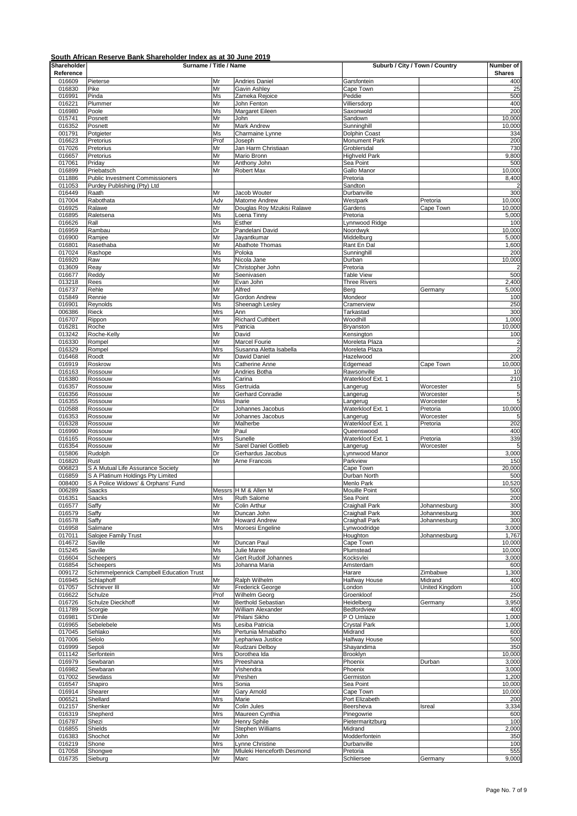| Shareholder      | Surname / Title / Name                                 |             |                                         | Suburb / City / Town / Country |                       | Number of       |
|------------------|--------------------------------------------------------|-------------|-----------------------------------------|--------------------------------|-----------------------|-----------------|
| Reference        |                                                        |             |                                         |                                |                       | <b>Shares</b>   |
| 016609           | Pieterse                                               | Mr          | Andries Daniel                          | Garsfontein                    |                       | 400             |
| 016830<br>016991 | Pike<br>Pinda                                          | Mr<br>Ms    | Gavin Ashley<br>Zameka Rejoice          | Cape Town<br>Peddie            |                       | 25<br>500       |
| 016221           | Plummer                                                | Mr          | John Fenton                             | Villiersdorp                   |                       | 400             |
| 016980           | Poole                                                  | Ms          | Margaret Eileen                         | Saxonwold                      |                       | 200             |
| 015741           | Posnett                                                | Mr          | John                                    | Sandown                        |                       | 10,000          |
| 016352<br>001791 | Posnett<br>Potgieter                                   | Mr<br>Ms    | Mark Andrew<br>Charmaine Lynne          | Sunninghill<br>Dolphin Coast   |                       | 10,000<br>334   |
| 016623           | Pretorius                                              | Prof        | Joseph                                  | Monument Park                  |                       | 200             |
| 017026           | Pretorius                                              | Mr          | Jan Harm Christiaan                     | Groblersdal                    |                       | 730             |
| 016657           | Pretorius                                              | Mr          | Mario Bronn                             | <b>Highveld Park</b>           |                       | 9,800           |
| 017061           | Priday                                                 | Mr          | Anthony John                            | Sea Point                      |                       | 500             |
| 016899<br>011886 | Priebatsch<br><b>Public Investment Commissioners</b>   | Mr          | Robert Max                              | Gallo Manor<br>Pretoria        |                       | 10,000<br>8,400 |
| 011053           | Purdey Publishing (Pty) Ltd                            |             |                                         | Sandton                        |                       |                 |
| 016449           | Raath                                                  | Mr          | Jacob Wouter                            | Durbanville                    |                       | 300             |
| 017004           | Rabothata                                              | Adv         | Matome Andrew                           | Westpark                       | Pretoria              | 10,000          |
| 016925           | Ralawe                                                 | Mr          | Douglas Roy Mzukisi Ralawe              | Gardens                        | Cape Town             | 10,000          |
| 016895           | Raletsena<br>Rall                                      | Ms<br>Ms    | Loena Tinny<br>Esther                   | Pretoria<br>Lynnwood Ridge     |                       | 5,000<br>100    |
| 016626<br>016959 | Rambau                                                 | Dr          | Pandelani David                         | Noordwyk                       |                       | 10,000          |
| 016900           | Ramjee                                                 | Mr          | Jayantkumar                             | Middelburg                     |                       | 5,000           |
| 016801           | Rasethaba                                              | Mr          | Abathote Thomas                         | Rant En Dal                    |                       | 1,600           |
| 017024           | Rashope                                                | Ms          | Poloka                                  | Sunninghill                    |                       | 200             |
| 016920           | Raw                                                    | Ms          | Nicola Jane                             | Durban                         |                       | 10,000          |
| 013609<br>016677 | Reay<br>Reddy                                          | Mr<br>Mr    | Christopher John<br>Seenivasen          | Pretoria<br><b>Table View</b>  |                       | 500             |
| 013218           | Rees                                                   | Mr          | Evan John                               | <b>Three Rivers</b>            |                       | 2,400           |
| 016737           | Rehle                                                  | Mr          | Alfred                                  | Berg                           | Germany               | 5,000           |
| 015849           | Rennie                                                 | Mr          | Gordon Andrew                           | Mondeor                        |                       | 100             |
| 016901           | Reynolds                                               | Ms          | Sheenagh Lesley<br>Ann                  | Cramerview                     |                       | 250<br>300      |
| 006386<br>016707 | Rieck<br>Rippon                                        | Mrs<br>Mr   | <b>Richard Cuthbert</b>                 | Tarkastad<br>Woodhill          |                       | 1,000           |
| 016281           | Roche                                                  | Mrs         | Patricia                                | Bryanston                      |                       | 10,000          |
| 013242           | Roche-Kelly                                            | Mr          | David                                   | Kensington                     |                       | 100             |
| 016330           | Rompel                                                 | Mr          | Marcel Fourie                           | Moreleta Plaza                 |                       | $\overline{a}$  |
| 016329           | Rompel<br>Roodt                                        | Mrs<br>Mr   | Susanna Aletta Isabella<br>Dawid Daniel | Moreleta Plaza<br>Hazelwood    |                       |                 |
| 016468<br>016919 | Roskrow                                                | Ms          | Catherine Anne                          | Edgemead                       | Cape Town             | 200<br>10,000   |
| 016163           | Rossouw                                                | Mr          | Andries Botha                           | Rawsonville                    |                       | 10              |
| 016380           | Rossouw                                                | Ms          | Carina                                  | Waterkloof Ext. 1              |                       | 210             |
| 016357           | Rossouw                                                | <b>Miss</b> | Gertruida                               | Langerug                       | Worcester             | $\frac{5}{5}$   |
| 016356<br>016355 | Rossouw<br>Rossouw                                     | Mr<br>Miss  | Gerhard Conradie<br>Inarie              | Langerug                       | Worcester             | 5               |
| 010588           | Rossouw                                                | Dr          | Johannes Jacobus                        | Langerug<br>Waterkloof Ext. 1  | Worcester<br>Pretoria | 10,000          |
| 016353           | Rossouw                                                | Mr          | Johannes Jacobus                        | Langerug                       | Worcester             | 5               |
| 016328           | Rossouw                                                | Mr          | Malherbe                                | Waterkloof Ext. 1              | Pretoria              | 202             |
| 016990           | Rossouw                                                | Mr          | Paul                                    | Queenswood                     |                       | 400             |
| 016165<br>016354 | Rossouw<br>Rossouw                                     | Mrs<br>Mr   | Sunelle<br>Sarel Daniel Gottlieb        | Waterkloof Ext. 1<br>Langerug  | Pretoria<br>Worcester | 339<br>5        |
| 015806           | Rudolph                                                | Dr          | Gerhardus Jacobus                       | Lynnwood Manor                 |                       | 3,000           |
| 016820           | Rust                                                   | Mr          | Arne Francois                           | Parkview                       |                       | 150             |
| 006823           | S A Mutual Life Assurance Society                      |             |                                         | Cape Town                      |                       | 20,000          |
| 016859           | S A Platinum Holdings Pty Limited                      |             |                                         | Durban North                   |                       | 500             |
| 008400<br>006289 | S A Police Widows' & Orphans' Fund<br>Saacks           |             | Messrs H M & Allen M                    | Menlo Park<br>Mouille Point    |                       | 10,520<br>500   |
| 016351           | Saacks                                                 | Mrs         | <b>Ruth Salome</b>                      | Sea Point                      |                       | 200             |
| 016577           | Saffy                                                  | Mr          | Colin Arthur                            | Craighall Park                 | Johannesburg          | 300             |
| 016579           | Saffy                                                  | Mr          | Duncan John                             | Craighall Park                 | Johannesburg          | 300             |
| 016578           | Saffy                                                  | Mr          | <b>Howard Andrew</b>                    | Craighall Park                 | Johannesburg          | 300             |
| 016958<br>017011 | Salimane<br>Salojee Family Trust                       | Mrs         | Moroesi Engeline                        | Lynwoodridge<br>Houghton       | Johannesburg          | 3,000<br>1,767  |
| 014672           | Saville                                                | Mr          | Duncan Paul                             | Cape Town                      |                       | 10,000          |
| 015245           | Saville                                                | Ms          | Julie Maree                             | Plumstead                      |                       | 10,000          |
| 016604           | Scheepers                                              | Mr          | Gert Rudolf Johannes                    | Kocksvlei                      |                       | 3,000           |
| 016854           | Scheepers                                              | Ms          | Johanna Maria                           | Amsterdam                      |                       | 600             |
| 009172<br>016945 | Schimmelpennick Campbell Education Trust<br>Schlaphoff | Mr          | Ralph Wilhelm                           | Harare<br>Halfway House        | Zimbabwe<br>Midrand   | 1,300<br>400    |
| 017057           | Schriever III                                          | Mr          | Frederick George                        | London                         | United Kingdom        | 100             |
| 016622           | Schulze                                                | Prof        | Wilhelm Georg                           | Groenkloof                     |                       | 250             |
| 016726           | Schulze Dieckhoff                                      | Mr          | <b>Berthold Sebastian</b>               | Heidelberg                     | Germany               | 3,950           |
| 011789           | Scorgie                                                | Mr          | William Alexander                       | Bedfordview                    |                       | 400             |
| 016981<br>016965 | S'Dinile<br>Sebelebele                                 | Mr<br>Ms    | Philani Sikho<br>Lesiba Patricia        | P O Umlaze<br>Crystal Park     |                       | 1,000<br>1,000  |
| 017045           | Sehlako                                                | Ms          | Pertunia Mmabatho                       | Midrand                        |                       | 600             |
| 017006           | Selolo                                                 | Mr          | Lephariwa Justice                       | Halfway House                  |                       | 500             |
| 016999           | Sepoli                                                 | Mr          | Rudzani Delboy                          | Shayandima                     |                       | 350             |
| 011142           | Serfontein                                             | Mrs         | Dorothea Ida                            | Brooklyn                       |                       | 10,000          |
| 016979<br>016982 | Sewbaran<br>Sewbaran                                   | Mrs<br>Mr   | Preeshana<br>Vishendra                  | Phoenix<br>Phoenix             | Durban                | 3,000<br>3,000  |
| 017002           | Sewdass                                                | Mr          | Preshen                                 | Germiston                      |                       | 1,200           |
| 016547           | Shapiro                                                | Mrs         | Sonia                                   | Sea Point                      |                       | 10,000          |
| 016914           | Shearer                                                | Mr          | Gary Arnold                             | Cape Town                      |                       | 10,000          |
| 006521           | Shellard                                               | Mrs         | Marie                                   | Port Elizabeth                 |                       | 200             |
| 012157<br>016319 | Shenker<br>Shepherd                                    | Mr<br>Mrs   | Colin Jules<br>Maureen Cynthia          | Beersheva<br>Pinegowrie        | Isreal                | 3,334<br>600    |
| 016787           | Shezi                                                  | Mr          | Henry Sphile                            | Pietermaritzburg               |                       | 100             |
| 016855           | Shields                                                | Mr          | Stephen Williams                        | Midrand                        |                       | 2,000           |
| 016383           | Shochot                                                | Mr          | John                                    | Modderfontein                  |                       | 350             |
| 016219           | Shone                                                  | Mrs         | Lynne Christine                         | Durbanville                    |                       | 100             |
| 017058           | Shongwe                                                | Mr          | Mluleki Henceforth Desmond              | Pretoria                       |                       | 555             |
| 016735           | Sieburg                                                | Mr          | Marc                                    | Schliersee                     | Germany               | 9,000           |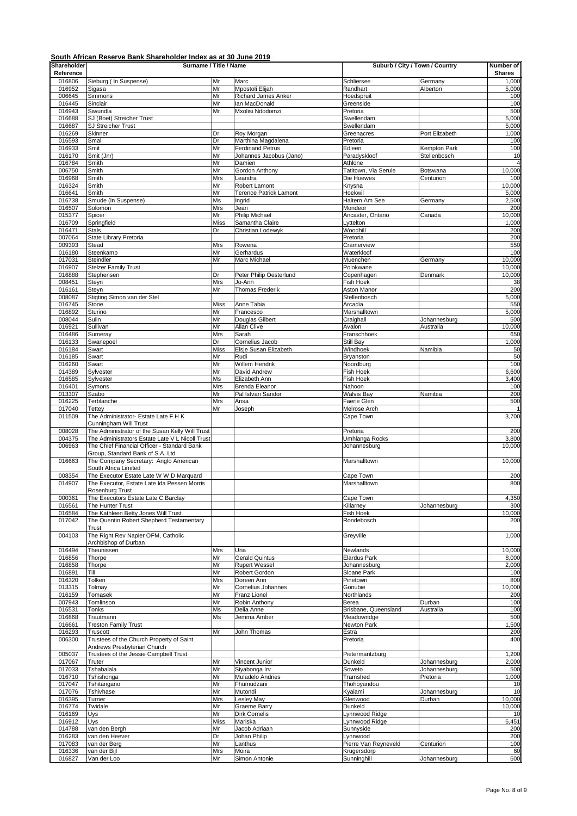| Shareholder      | Surname / Title / Name                                                                         |             |                                          | Suburb / City / Town / Country   |                     | Number of       |
|------------------|------------------------------------------------------------------------------------------------|-------------|------------------------------------------|----------------------------------|---------------------|-----------------|
| Reference        |                                                                                                |             |                                          |                                  |                     | <b>Shares</b>   |
| 016806<br>016952 | Sieburg (In Suspense)<br>Sigasa                                                                | Mr<br>Mr    | Marc<br>Mpostoli Elijah                  | Schliersee<br>Randhart           | Germany<br>Alberton | 1,000<br>5,000  |
| 006645           | Simmons                                                                                        | Mr          | <b>Richard James Anker</b>               | Hoedspruit                       |                     | 100             |
| 016445           | Sinclair                                                                                       | Mr          | Ian MacDonald                            | Greenside                        |                     | 100             |
| 016943           | Siwundla                                                                                       | Mr          | Mxolisi Ndodomzi                         | Pretoria                         |                     | 500             |
| 016688           | SJ (Boet) Streicher Trust                                                                      |             |                                          | Swellendam                       |                     | 5,000           |
| 016687<br>016269 | SJ Streicher Trust<br>Skinner                                                                  | Dr          | Roy Morgan                               | Swellendam<br>Greenacres         | Port Elizabeth      | 5,000<br>1,000  |
| 016593           | Smal                                                                                           | Dr          | Marthina Magdalena                       | Pretoria                         |                     | 100             |
| 016933           | Smit                                                                                           | Mr          | <b>Ferdinand Petrus</b>                  | Edleen                           | Kempton Park        | 100             |
| 016170           | Smit (Jnr)                                                                                     | Mr          | Johannes Jacobus (Jano)                  | Paradyskloof                     | Stellenbosch        | 10              |
| 016784           | Smith                                                                                          | Mr          | Damien                                   | Athlone                          |                     | $\overline{4}$  |
| 006750           | Smith                                                                                          | Mr          | Gordon Anthony                           | Tatitown, Via Serule             | Botswana            | 10,000          |
| 016968<br>016324 | Smith<br>Smith                                                                                 | Mrs<br>Mr   | Leandra<br>Robert Lamont                 | Die Hoewes<br>Knysna             | Centurion           | 100<br>10,000   |
| 016641           | Smith                                                                                          | Mr          | <b>Terence Patrick Lamont</b>            | Hoekwil                          |                     | 5,000           |
| 016738           | Smude (In Suspense)                                                                            | Ms          | Ingrid                                   | Haltern Am See                   | Germany             | 2,500           |
| 016507           | Solomon                                                                                        | Mrs         | Jean                                     | Mondeor                          |                     | 200             |
| 015377           | Spicer                                                                                         | Mr          | <b>Philip Michael</b>                    | Ancaster, Ontario                | Canada              | 10,000          |
| 016709           | Springfield                                                                                    | <b>Miss</b> | Samantha Claire                          | Lyttelton                        |                     | 1,000           |
| 016471<br>007064 | <b>Stals</b><br>State Library Pretoria                                                         | Dr          | Christian Lodewyk                        | Woodhill<br>Pretoria             |                     | 200<br>200      |
| 009393           | Stead                                                                                          | Mrs         | Rowena                                   | Cramerview                       |                     | 550             |
| 016180           | Steenkamp                                                                                      | Mr          | Gerhardus                                | Waterkloof                       |                     | 100             |
| 017031           | Steindler                                                                                      | Mr          | Marc Michael                             | Muenchen                         | Germany             | 10,000          |
| 016907           | <b>Stelzer Family Trust</b>                                                                    |             |                                          | Polokwane                        |                     | 10,000          |
| 016888           | Stephensen                                                                                     | Dr          | Peter Philip Oesterlund                  | Copenhagen                       | Denmark             | 10,000          |
| 008451<br>016161 | Steyn<br>Steyn                                                                                 | Mrs<br>Mr   | Jo-Ann<br><b>Thomas Frederik</b>         | Fish Hoek<br>Aston Manor         |                     | 38<br>200       |
| 008087           | Stigting Simon van der Stel                                                                    |             |                                          | Stellenbosch                     |                     | 5,000           |
| 016745           | Stone                                                                                          | Miss        | Anne Tabia                               | Arcadia                          |                     | 550             |
| 016892           | Sturino                                                                                        | Mr          | Francesco                                | Marshalltown                     |                     | 5,000           |
| 008044           | Sulin                                                                                          | Mr          | Douglas Gilbert                          | Craighall                        | Johannesburg        | 500             |
| 016921           | Sullivan                                                                                       | Mr          | Allan Clive                              | Avalon                           | Australia           | 10,000          |
| 016486<br>016133 | Sumeray<br>Swanepoel                                                                           | Mrs<br>Dr   | Sarah<br>Cornelius Jacob                 | Franschhoek<br>Still Bay         |                     | 650<br>1,000    |
| 016184           | Swart                                                                                          | Miss        | Elsje Susan Elizabeth                    | Windhoek                         | Namibia             | 50              |
| 016185           | Swart                                                                                          | Mr          | Rudi                                     | Bryanston                        |                     | 50              |
| 016260           | Swart                                                                                          | Mr          | Willem Hendrik                           | Noordburg                        |                     | 100             |
| 014389           | Sylvester                                                                                      | Mr          | David Andrew                             | Fish Hoek                        |                     | 6,600           |
| 016585           | Sylvester                                                                                      | Ms          | Elizabeth Ann                            | Fish Hoek                        |                     | 3,400           |
| 016401           | Symons                                                                                         | Mrs         | <b>Brenda Eleanor</b>                    | Nahoon                           |                     | 100             |
| 013307<br>016225 | Szabo<br>Terblanche                                                                            | Mr<br>Mrs   | Pal Istvan Sandor<br>Ansa                | <b>Walvis Bay</b><br>Faerie Glen | Namibia             | 200<br>500      |
| 017040           | Tettey                                                                                         | Mr          | Joseph                                   | Melrose Arch                     |                     |                 |
| 011509           | The Administrator- Estate Late F H K                                                           |             |                                          | Cape Town                        |                     | 3,700           |
|                  | Cunningham Will Trust                                                                          |             |                                          |                                  |                     |                 |
| 008028           | The Administrator of the Susan Kelly Will Trust                                                |             |                                          | Pretoria                         |                     | 200             |
| 004375<br>006963 | The Administrators Estate Late V L Nicoll Trust<br>The Chief Financial Officer - Standard Bank |             |                                          | Umhlanga Rocks                   |                     | 3,800<br>10,000 |
|                  | Group, Standard Bank of S.A. Ltd                                                               |             |                                          | Johannesburg                     |                     |                 |
| 016663           | The Company Secretary: Anglo American                                                          |             |                                          | Marshalltown                     |                     | 10,000          |
|                  | South Africa Limited                                                                           |             |                                          |                                  |                     |                 |
| 008354           | The Executor Estate Late W W D Marquard                                                        |             |                                          | Cape Town                        |                     | 200             |
| 014907           | The Executor, Estate Late Ida Pessen Morris                                                    |             |                                          | Marshalltown                     |                     | 800             |
| 000361           | Rosenburg Trust                                                                                |             |                                          | Cape Town                        |                     | 4,350           |
| 016561           | The Executors Estate Late C Barclay<br>The Hunter Trust                                        |             |                                          | Killarney                        | Johannesburg        | 300             |
| 016584           | The Kathleen Betty Jones Will Trust                                                            |             |                                          | Fish Hoek                        |                     | 10,000          |
| 017042           | The Quentin Robert Shepherd Testamentary                                                       |             |                                          | Rondebosch                       |                     | 200             |
|                  | Trust                                                                                          |             |                                          |                                  |                     |                 |
| 004103           | The Right Rev Napier OFM, Catholic                                                             |             |                                          | Greyville                        |                     | 1,000           |
| 016494           | Archbishop of Durban<br>Theunissen                                                             | Mrs         | Uria                                     | Newlands                         |                     | 10,000          |
| 016856           | Thorpe                                                                                         | Mr          | <b>Gerald Quintus</b>                    | <b>Elardus Park</b>              |                     | 8,000           |
| 016858           | Thorpe                                                                                         | Mr          | <b>Rupert Wessel</b>                     | Johannesburg                     |                     | 2,000           |
| 016891           | Till                                                                                           | Mr          | Robert Gordon                            | Sloane Park                      |                     | 100             |
| 016320           | Tolken                                                                                         | Mrs         | Doreen Ann                               | Pinetown                         |                     | 800             |
| 013315           | Tolmav                                                                                         | Mr          | Cornelius Johannes                       | Gonubie<br>Northlands            |                     | 10,000          |
| 016159<br>007943 | Tomasek<br>Tomlinson                                                                           | Mr<br>Mr    | Franz Lionel<br>Robin Anthony            | Berea                            | Durban              | 200<br>100      |
| 016531           | Tonks                                                                                          | Ms          | Delia Anne                               | Brisbane, Queensland             | Australia           | 100             |
| 016868           | Trautmann                                                                                      | Ms          | Jemma Amber                              | Meadowridge                      |                     | 500             |
| 016661           | <b>Treston Family Trust</b>                                                                    |             |                                          | Newton Park                      |                     | 1,500           |
| 016293           | Truscott                                                                                       | Mr          | John Thomas                              | Estra                            |                     | 200             |
| 006300           | Trustees of the Church Property of Saint                                                       |             |                                          | Pretoria                         |                     | 400             |
| 005037           | Andrews Presbyterian Church<br>Trustees of the Jessie Campbell Trust                           |             |                                          | Pietermaritzburg                 |                     | 1,200           |
| 017067           | Truter                                                                                         | Mr          | Vincent Junior                           | Dunkeld                          | Johannesburg        | 2,000           |
| 017033           | Tshabalala                                                                                     | Mr          | Siyabonga Irv                            | Soweto                           | Johannesburg        | 500             |
| 016710           | Tshishonga                                                                                     | Mr          | Muladelo Andries                         | Tramshed                         | Pretoria            | 1,000           |
| 017047           | Tshitangano                                                                                    | Mr          | Fhumudzani                               | Thohoyandou                      |                     | 10              |
| 017076           | Tshivhase                                                                                      | Mr          | Mutondi                                  | Kyalami                          | Johannesburg        | 10              |
| 016395           | Turner                                                                                         | Mrs<br>Mr   | <b>Lesley May</b><br><b>Graeme Barry</b> | Glenwood<br>Dunkeld              | Durban              | 10,000          |
| 016774<br>016169 | Twidale<br>Uys                                                                                 | Mr          | <b>Dirk Cornelis</b>                     | Lynnwood Ridge                   |                     | 10,000<br>10    |
| 016912           | Uys                                                                                            | Miss        | Mariska                                  | _ynnwood Ridge                   |                     | 6,451           |
| 014788           | van den Bergh                                                                                  | Mr          | Jacob Adriaan                            | Sunnyside                        |                     | 200             |
| 016283           | van den Heever                                                                                 | Dr          | Johan Philip                             | Lynnwood                         |                     | 200             |
| 017083           | van der Berg                                                                                   | Mr          | Lanthus                                  | Pierre Van Reyneveld             | Centurion           | 100             |
| 016336<br>016827 | van der Bijl<br>Van der Loo                                                                    | Mrs<br>Mr   | Moira<br>Simon Antonie                   | Krugersdorp<br>Sunninghill       | Johannesburg        | 60<br>600       |
|                  |                                                                                                |             |                                          |                                  |                     |                 |